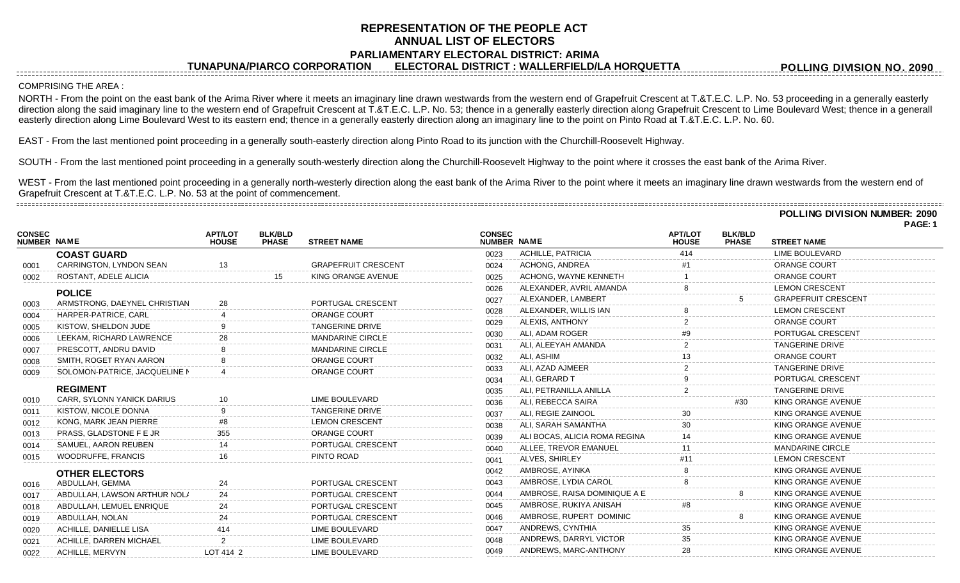# **REPRESENTATION OF THE PEOPLE ACT ANNUAL LIST OF ELECTORS PARLIAMENTARY ELECTORAL DISTRICT: ARIMA**

**TUNAPUNA/PIARCO CORPORATION ELECTORAL DISTRICT : WALLERFIELD/LA HORQUETTA**

**POLLING DIVISION NO. 2090**

### COMPRISING THE AREA :

NORTH - From the point on the east bank of the Arima River where it meets an imaginary line drawn westwards from the western end of Grapefruit Crescent at T.&T.E.C. L.P. No. 53 proceeding in a generally easterly direction along the said imaginary line to the western end of Grapefruit Crescent at T.&T.E.C. L.P. No. 53; thence in a generally easterly direction along Grapefruit Crescent to Lime Boulevard West; thence in a generall easterly direction along Lime Boulevard West to its eastern end; thence in a generally easterly direction along an imaginary line to the point on Pinto Road at T.&T.E.C. L.P. No. 60.

EAST - From the last mentioned point proceeding in a generally south-easterly direction along Pinto Road to its junction with the Churchill-Roosevelt Highway.

SOUTH - From the last mentioned point proceeding in a generally south-westerly direction along the Churchill-Roosevelt Highway to the point where it crosses the east bank of the Arima River.

WEST - From the last mentioned point proceeding in a generally north-westerly direction along the east bank of the Arima River to the point where it meets an imaginary line drawn westwards from the western end of Grapefruit Crescent at T.&T.E.C. L.P. No. 53 at the point of commencement. 

**POLLING DIVISION NUMBER: 2090**

**PAGE: 1**

| <b>CONSEC</b><br><b>NUMBER NAME</b> |                               | <b>APT/LOT</b><br><b>HOUSE</b> | <b>BLK/BLD</b><br><b>PHASE</b> | <b>STREET NAME</b>         | <b>CONSEC</b><br>NUMBER NAME |                               | <b>APT/LOT</b><br><b>HOUSE</b> | <b>BLK/BLD</b><br><b>PHASE</b> | <b>STREET NAME</b>         |
|-------------------------------------|-------------------------------|--------------------------------|--------------------------------|----------------------------|------------------------------|-------------------------------|--------------------------------|--------------------------------|----------------------------|
|                                     | <b>COAST GUARD</b>            |                                |                                |                            | 0023                         | <b>ACHILLE, PATRICIA</b>      | 414                            |                                | <b>LIME BOULEVARD</b>      |
| 0001                                | CARRINGTON, LYNDON SEAN       | 13                             |                                | <b>GRAPEFRUIT CRESCENT</b> | 0024                         | ACHONG, ANDREA                |                                |                                | <b>ORANGE COURT</b>        |
| 0002                                | ROSTANT, ADELE ALICIA         |                                | 15 <sup>15</sup>               | KING ORANGE AVENUE         | 0025                         | ACHONG, WAYNE KENNETH         |                                |                                | <b>ORANGE COURT</b>        |
|                                     | <b>POLICE</b>                 |                                |                                |                            | 0026                         | ALEXANDER, AVRIL AMANDA       |                                |                                | <b>LEMON CRESCENT</b>      |
| 0003                                | ARMSTRONG, DAEYNEL CHRISTIAN  |                                |                                | PORTUGAL CRESCENT          | 0027                         | ALEXANDER, LAMBERT            |                                |                                | <b>GRAPEFRUIT CRESCENT</b> |
| 0004                                | HARPER-PATRICE, CARL          |                                |                                | <b>ORANGE COURT</b>        | 0028                         | ALEXANDER, WILLIS IAN         |                                |                                | <b>LEMON CRESCENT</b>      |
| 0005                                | KISTOW, SHELDON JUDE          |                                |                                | <b>TANGERINE DRIVE</b>     | 0029                         | ALEXIS, ANTHONY               |                                |                                | ORANGE COURT               |
| 0006                                | LEEKAM, RICHARD LAWRENCE      |                                |                                | <b>MANDARINE CIRCLE</b>    | 0030                         | ALI, ADAM ROGER               |                                |                                | PORTUGAL CRESCENT          |
| 0007                                | PRESCOTT, ANDRU DAVID         |                                |                                | <b>MANDARINE CIRCLE</b>    | 0031                         | ALI. ALEEYAH AMANDA           |                                |                                | <b>TANGERINE DRIVE</b>     |
| 0008                                | SMITH, ROGET RYAN AARON       |                                |                                | ORANGE COURT               | 0032                         | ALI, ASHIM                    |                                |                                | ORANGE COURT               |
| 0009                                | SOLOMON-PATRICE, JACQUELINE N |                                |                                | ORANGE COURT               | 0033                         | ALI, AZAD AJMEER              |                                |                                | <b>TANGERINE DRIVE</b>     |
|                                     |                               |                                |                                |                            | 0034                         | ALI. GERARD T                 |                                |                                | PORTUGAL CRESCENT          |
|                                     | <b>REGIMENT</b>               |                                |                                |                            | 0035                         | ALI, PETRANILLA ANILLA        |                                |                                | <b>TANGERINE DRIVE</b>     |
| 0010                                | CARR, SYLONN YANICK DARIUS    |                                |                                | LIME BOULEVARD             | 0036                         | ALI, REBECCA SAIRA            |                                | #30                            | KING ORANGE AVENUE         |
| 0011                                | KISTOW, NICOLE DONNA          |                                |                                | <b>TANGERINE DRIVE</b>     | 0037                         | ALI, REGIE ZAINOOL            | 30                             |                                | KING ORANGE AVENUE         |
| 0012                                | KONG, MARK JEAN PIERRE        |                                |                                | <b>LEMON CRESCENT</b>      | 0038                         | ALI, SARAH SAMANTHA           |                                |                                | KING ORANGE AVENUE         |
| 0013                                | PRASS, GLADSTONE F E JR       |                                |                                | <b>ORANGE COURT</b>        | 0039                         | ALI BOCAS, ALICIA ROMA REGINA |                                |                                | KING ORANGE AVENUE         |
| 0014                                | SAMUEL, AARON REUBEN          |                                |                                | PORTUGAL CRESCENT          | 0040                         | ALLEE, TREVOR EMANUEL         |                                |                                | <b>MANDARINE CIRCLE</b>    |
| 0015                                | WOODRUFFE, FRANCIS            |                                |                                | PINTO ROAD                 | 0041                         | ALVES, SHIRLEY                |                                |                                | <b>LEMON CRESCENT</b>      |
|                                     | <b>OTHER ELECTORS</b>         |                                |                                |                            | 0042                         | AMBROSE, AYINKA               |                                |                                | KING ORANGE AVENUE         |
| 0016                                | ABDULLAH, GEMMA               | 24                             |                                | PORTUGAL CRESCENT          | 0043                         | AMBROSE, LYDIA CAROL          |                                |                                | KING ORANGE AVENUE         |
| 0017                                | ABDULLAH, LAWSON ARTHUR NOLA  | 24                             |                                | PORTUGAL CRESCENT          | 0044                         | AMBROSE, RAISA DOMINIQUE A E  |                                |                                | KING ORANGE AVENUE         |
| 0018                                | ABDULLAH, LEMUEL ENRIQUE      | 24                             |                                | PORTUGAL CRESCENT          | 0045                         | AMBROSE, RUKIYA ANISAH        |                                |                                | KING ORANGE AVENUE         |
| 0019                                | ABDULLAH, NOLAN               | 24                             |                                | PORTUGAL CRESCENT          | 0046                         | AMBROSE, RUPERT DOMINIC       |                                |                                | KING ORANGE AVENUE         |
| 0020                                | ACHILLE, DANIELLE LISA        | 414                            |                                | LIME BOULEVARD             | 0047                         | ANDREWS, CYNTHIA              | 35                             |                                | KING ORANGE AVENUE         |
| 0021                                | ACHILLE, DARREN MICHAEL       |                                |                                | LIME BOULEVARD             | 0048                         | ANDREWS, DARRYL VICTOR        |                                |                                | KING ORANGE AVENUE         |
| 0022                                | <b>ACHILLE, MERVYN</b>        | LOT 414 2                      |                                | LIME BOULEVARD             | 0049                         | ANDREWS, MARC-ANTHONY         | 28                             |                                | KING ORANGE AVENUE         |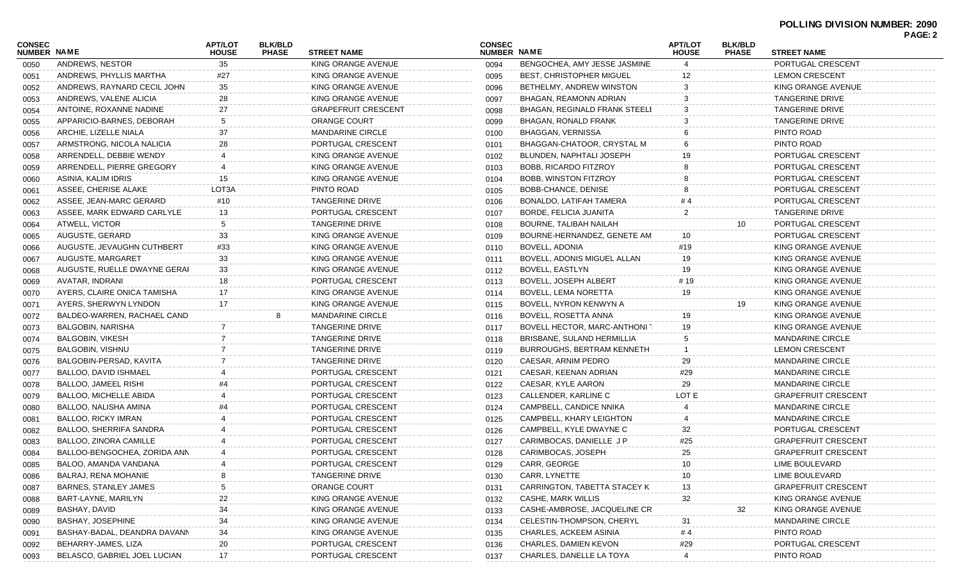|                              |                               |                                |                                |                            |                              |                                    |                                |                                |                            | . AVL.Z |
|------------------------------|-------------------------------|--------------------------------|--------------------------------|----------------------------|------------------------------|------------------------------------|--------------------------------|--------------------------------|----------------------------|---------|
| CONSEC<br><b>NUMBER NAME</b> |                               | <b>APT/LOT</b><br><b>HOUSE</b> | <b>BLK/BLD</b><br><b>PHASE</b> | <b>STREET NAME</b>         | <b>CONSEC</b><br>NUMBER NAME |                                    | <b>APT/LOT</b><br><b>HOUSE</b> | <b>BLK/BLD</b><br><b>PHASE</b> | <b>STREET NAME</b>         |         |
| 0050                         | ANDREWS, NESTOR               | 35                             |                                | KING ORANGE AVENUE         | 0094                         | BENGOCHEA, AMY JESSE JASMINE       |                                |                                | PORTUGAL CRESCENT          |         |
| 0051                         | ANDREWS, PHYLLIS MARTHA       | #27                            |                                | KING ORANGE AVENUE         | 0095                         | <b>BEST, CHRISTOPHER MIGUEL</b>    |                                |                                | <b>LEMON CRESCENT</b>      |         |
| 0052                         | ANDREWS, RAYNARD CECIL JOHN   | 35                             |                                | KING ORANGE AVENUE         | 0096                         | BETHELMY, ANDREW WINSTON           |                                |                                | KING ORANGE AVENUE         |         |
| 0053                         | ANDREWS, VALENE ALICIA        | 28                             |                                | KING ORANGE AVENUE         | 0097                         | BHAGAN, REAMONN ADRIAN             |                                |                                | <b>TANGERINE DRIVE</b>     |         |
| 0054                         | ANTOINE, ROXANNE NADINE       | 27                             |                                | <b>GRAPEFRUIT CRESCENT</b> | 0098                         | BHAGAN, REGINALD FRANK STEELI      |                                |                                | <b>TANGERINE DRIVE</b>     |         |
| 0055                         | APPARICIO-BARNES, DEBORAH     | 5                              |                                | ORANGE COURT               | 0099                         | <b>BHAGAN, RONALD FRANK</b>        |                                |                                | <b>TANGERINE DRIVE</b>     |         |
| 0056                         | ARCHIE, LIZELLE NIALA         | 37                             |                                | <b>MANDARINE CIRCLE</b>    | 0100                         | <b>BHAGGAN, VERNISSA</b>           |                                |                                | PINTO ROAD                 |         |
| 0057                         | ARMSTRONG, NICOLA NALICIA     | 28                             |                                | PORTUGAL CRESCENT          | 0101                         | BHAGGAN-CHATOOR, CRYSTAL M         |                                |                                | PINTO ROAD                 |         |
| 0058                         | ARRENDELL, DEBBIE WENDY       |                                |                                | KING ORANGE AVENUE         | 0102                         | BLUNDEN, NAPHTALI JOSEPH           |                                |                                | PORTUGAL CRESCENT          |         |
| 0059                         | ARRENDELL, PIERRE GREGORY     |                                |                                | KING ORANGE AVENUE         | 0103                         | BOBB, RICARDO FITZROY              |                                |                                | PORTUGAL CRESCENT          |         |
| 0060                         | ASINIA, KALIM IDRIS           | 15                             |                                | KING ORANGE AVENUE         | 0104                         | BOBB, WINSTON FITZROY              |                                |                                | PORTUGAL CRESCENT          |         |
| 0061                         | ASSEE, CHERISE ALAKE          | LOT3A                          |                                | PINTO ROAD                 | 0105                         | BOBB-CHANCE, DENISE                |                                |                                | PORTUGAL CRESCENT          |         |
| 0062                         | ASSEE, JEAN-MARC GERARD       | #10                            |                                | <b>TANGERINE DRIVE</b>     | 0106                         | BONALDO, LATIFAH TAMERA            |                                |                                | PORTUGAL CRESCENT          |         |
| 0063                         | ASSEE, MARK EDWARD CARLYLE    | 13                             |                                | PORTUGAL CRESCENT          | 0107                         | BORDE, FELICIA JUANITA             |                                |                                | <b>TANGERINE DRIVE</b>     |         |
| 0064                         | ATWELL, VICTOR                | 5                              |                                | <b>TANGERINE DRIVE</b>     | 0108                         | BOURNE, TALIBAH NAILAH             |                                | 10                             | PORTUGAL CRESCENT          |         |
| 0065                         | AUGUSTE, GERARD               | 33                             |                                | KING ORANGE AVENUE         | 0109                         | BOURNE-HERNANDEZ, GENETE AM        | 10                             |                                | PORTUGAL CRESCENT          |         |
| 0066                         | AUGUSTE, JEVAUGHN CUTHBERT    | #33                            |                                | KING ORANGE AVENUE         | 0110                         | <b>BOVELL, ADONIA</b>              | #19                            |                                | KING ORANGE AVENUE         |         |
| 0067                         | AUGUSTE, MARGARET             | 33                             |                                | KING ORANGE AVENUE         | 0111                         | BOVELL, ADONIS MIGUEL ALLAN        | 19                             |                                | KING ORANGE AVENUE         |         |
| 0068                         | AUGUSTE, RUELLE DWAYNE GERAI  | 33                             |                                | KING ORANGE AVENUE         | 0112                         | <b>BOVELL, EASTLYN</b>             | 19                             |                                | KING ORANGE AVENUE         |         |
| 0069                         | AVATAR, INDRANI               | 18                             |                                | PORTUGAL CRESCENT          | 0113                         | <b>BOVELL, JOSEPH ALBERT</b>       | # 19                           |                                | KING ORANGE AVENUE         |         |
| 0070                         | AYERS, CLAIRE ONICA TAMISHA   | 17                             |                                | KING ORANGE AVENUE         | 0114                         | BOVELL, LEMA NORETTA               | 19                             |                                | KING ORANGE AVENUE         |         |
| 0071                         | AYERS, SHERWYN LYNDON         | 17                             |                                | KING ORANGE AVENUE         | 0115                         | BOVELL, NYRON KENWYN A             |                                | 19                             | KING ORANGE AVENUE         |         |
| 0072                         | BALDEO-WARREN, RACHAEL CAND   |                                |                                | <b>MANDARINE CIRCLE</b>    | 0116                         | BOVELL, ROSETTA ANNA               | 19                             |                                | KING ORANGE AVENUE         |         |
| 0073                         | BALGOBIN, NARISHA             |                                |                                | TANGERINE DRIVE            | 0117                         | <b>BOVELL HECTOR, MARC-ANTHONI</b> | 19                             |                                | KING ORANGE AVENUE         |         |
| 0074                         | BALGOBIN, VIKESH              |                                |                                | <b>TANGERINE DRIVE</b>     | 0118                         | BRISBANE, SULAND HERMILLIA         |                                |                                | <b>MANDARINE CIRCLE</b>    |         |
| 0075                         | <b>BALGOBIN, VISHNU</b>       |                                |                                | <b>TANGERINE DRIVE</b>     | 0119                         | <b>BURROUGHS, BERTRAM KENNETH</b>  |                                |                                | <b>LEMON CRESCENT</b>      |         |
| 0076                         | BALGOBIN-PERSAD, KAVITA       |                                |                                | TANGERINE DRIVE            | 0120                         | CAESAR, ARNIM PEDRO                | 29                             |                                | <b>MANDARINE CIRCLE</b>    |         |
| 0077                         | BALLOO, DAVID ISHMAEL         |                                |                                | PORTUGAL CRESCENT          | 0121                         | CAESAR, KEENAN ADRIAN              | #29                            |                                | <b>MANDARINE CIRCLE</b>    |         |
| 0078                         | BALLOO, JAMEEL RISHI          |                                |                                | PORTUGAL CRESCENT          | 0122                         | CAESAR, KYLE AARON                 | 29                             |                                | <b>MANDARINE CIRCLE</b>    |         |
| 0079                         | <b>BALLOO, MICHELLE ABIDA</b> |                                |                                | PORTUGAL CRESCENT          | 0123                         | CALLENDER, KARLINE C               | LOT E                          |                                | <b>GRAPEFRUIT CRESCENT</b> |         |
| 0080                         | BALLOO, NALISHA AMINA         |                                |                                | PORTUGAL CRESCENT          | 0124                         | CAMPBELL, CANDICE NNIKA            |                                |                                | <b>MANDARINE CIRCLE</b>    |         |
| 0081                         | <b>BALLOO, RICKY IMRAN</b>    |                                |                                | PORTUGAL CRESCENT          | 0125                         | CAMPBELL, KHARY LEIGHTON           |                                |                                | <b>MANDARINE CIRCLE</b>    |         |
| 0082                         | BALLOO, SHERRIFA SANDRA       |                                |                                | PORTUGAL CRESCENT          | 0126                         | CAMPBELL, KYLE DWAYNE C            | 32                             |                                | PORTUGAL CRESCENT          |         |
| 0083                         | BALLOO, ZINORA CAMILLE        |                                |                                | PORTUGAL CRESCENT          | 0127                         | CARIMBOCAS, DANIELLE J P           | #25                            |                                | <b>GRAPEFRUIT CRESCENT</b> |         |
| 0084                         | BALLOO-BENGOCHEA, ZORIDA ANN  |                                |                                | PORTUGAL CRESCENT          | 0128                         | CARIMBOCAS, JOSEPH                 | 25                             |                                | <b>GRAPEFRUIT CRESCENT</b> |         |
| 0085                         | BALOO, AMANDA VANDANA         |                                |                                | PORTUGAL CRESCENT          | 0129                         | CARR, GEORGE                       |                                |                                | LIME BOULEVARD             |         |
|                              | BALRAJ, RENA MOHANIE          |                                |                                | <b>TANGERINE DRIVE</b>     |                              | CARR, LYNETTE                      | 10                             |                                | LIME BOULEVARD             |         |
| 0086                         | BARNES, STANLEY JAMES         |                                |                                | ORANGE COURT               | 0130                         | CARRINGTON, TABETTA STACEY K       | 13                             |                                | <b>GRAPEFRUIT CRESCENT</b> |         |
| 0087                         | BART-LAYNE, MARILYN           | 22                             |                                | KING ORANGE AVENUE         | 0131                         | CASHE, MARK WILLIS                 |                                |                                | KING ORANGE AVENUE         |         |
| 0088                         | BASHAY, DAVID                 | 34                             |                                | KING ORANGE AVENUE         | 0132                         | CASHE-AMBROSE, JACQUELINE CR       | 32                             | 32                             | KING ORANGE AVENUE         |         |
| 0089                         | <b>BASHAY, JOSEPHINE</b>      | 34                             |                                | KING ORANGE AVENUE         | 0133                         | CELESTIN-THOMPSON, CHERYL          |                                |                                | <b>MANDARINE CIRCLE</b>    |         |
| 0090                         | BASHAY-BADAL, DEANDRA DAVANN  |                                |                                | KING ORANGE AVENUE         | 0134                         | <b>CHARLES, ACKEEM ASINIA</b>      | 31                             |                                | PINTO ROAD                 |         |
| 0091                         |                               | 34                             |                                |                            | 0135                         |                                    | # 4                            |                                |                            |         |
| 0092                         | BEHARRY-JAMES, LIZA           | 20                             |                                | PORTUGAL CRESCENT          | 0136                         | CHARLES, DAMIEN KEVON              | #29                            |                                | PORTUGAL CRESCENT          |         |
| 0093                         | BELASCO, GABRIEL JOEL LUCIAN  | 17                             |                                | PORTUGAL CRESCENT          | 0137                         | CHARLES, DANELLE LA TOYA           |                                |                                | PINTO ROAD                 |         |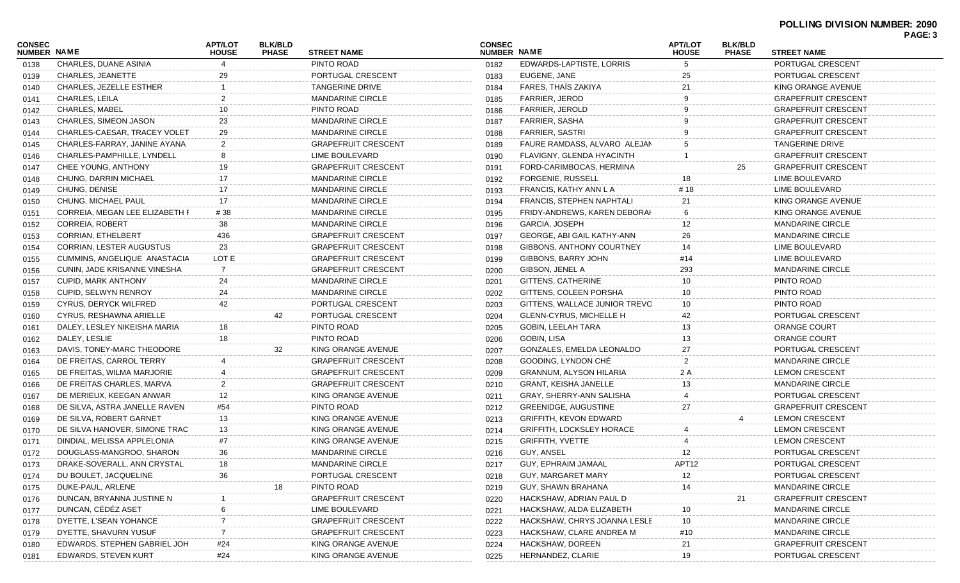## **POLLING DIVISION NUMBER: 2090**

| <b>CONSEC</b><br>NUMBER NAME |                                 | <b>APT/LOT</b><br><b>HOUSE</b> | <b>BLK/BLD</b><br><b>PHASE</b> | <b>STREET NAME</b>         | <b>CONSEC</b><br>NUMBER NAME |                                  | <b>APT/LOT</b><br><b>HOUSE</b> | <b>BLK/BLD</b><br><b>PHASE</b> | <b>STREET NAME</b>         |
|------------------------------|---------------------------------|--------------------------------|--------------------------------|----------------------------|------------------------------|----------------------------------|--------------------------------|--------------------------------|----------------------------|
| 0138                         | CHARLES, DUANE ASINIA           |                                |                                | PINTO ROAD                 | 0182                         | EDWARDS-LAPTISTE, LORRIS         | 5                              |                                | PORTUGAL CRESCENT          |
| 0139                         | <b>CHARLES, JEANETTE</b>        | 29                             |                                | PORTUGAL CRESCENT          | 0183                         | EUGENE, JANE                     | 25                             |                                | PORTUGAL CRESCENT          |
| 0140                         | <b>CHARLES, JEZELLE ESTHER</b>  |                                |                                | <b>TANGERINE DRIVE</b>     | 0184                         | FARES, THAÍS ZAKIYA              |                                |                                | KING ORANGE AVENUE         |
| 0141                         | CHARLES, LEILA                  |                                |                                | <b>MANDARINE CIRCLE</b>    | 0185                         | <b>FARRIER, JEROD</b>            |                                |                                | <b>GRAPEFRUIT CRESCENT</b> |
| 0142                         | <b>CHARLES, MABEL</b>           | 10                             |                                | PINTO ROAD                 | 0186                         | <b>FARRIER, JEROLD</b>           |                                |                                | <b>GRAPEFRUIT CRESCENT</b> |
| 0143                         | <b>CHARLES, SIMEON JASON</b>    |                                |                                | <b>MANDARINE CIRCLE</b>    | 0187                         | <b>FARRIER, SASHA</b>            |                                |                                | <b>GRAPEFRUIT CRESCENT</b> |
| 0144                         | CHARLES-CAESAR, TRACEY VOLET    | 29                             |                                | <b>MANDARINE CIRCLE</b>    | 0188                         | <b>FARRIER, SASTRI</b>           |                                |                                | <b>GRAPEFRUIT CRESCENT</b> |
| 0145                         | CHARLES-FARRAY, JANINE AYANA    |                                |                                | <b>GRAPEFRUIT CRESCENT</b> | 0189                         | FAURE RAMDASS, ALVARO ALEJAN     |                                |                                | <b>TANGERINE DRIVE</b>     |
| 0146                         | CHARLES-PAMPHILLE, LYNDELL      |                                |                                | LIME BOULEVARD             | 0190                         | FLAVIGNY, GLENDA HYACINTH        |                                |                                | <b>GRAPEFRUIT CRESCENT</b> |
| 0147                         | CHEE YOUNG, ANTHONY             | 19                             |                                | <b>GRAPEFRUIT CRESCENT</b> | 0191                         | FORD-CARIMBOCAS, HERMINA         |                                | 25                             | <b>GRAPEFRUIT CRESCENT</b> |
| 0148                         | <b>CHUNG, DARRIN MICHAEL</b>    | 17                             |                                | <b>MANDARINE CIRCLE</b>    | 0192                         | <b>FORGENIE, RUSSELL</b>         | 18                             |                                | LIME BOULEVARD             |
| 0149                         | CHUNG, DENISE                   |                                |                                | <b>MANDARINE CIRCLE</b>    | 0193                         | FRANCIS, KATHY ANN L A           | # 18                           |                                | LIME BOULEVARD             |
| 0150                         | CHUNG, MICHAEL PAUL             | 17                             |                                | <b>MANDARINE CIRCLE</b>    | 0194                         | <b>FRANCIS, STEPHEN NAPHTALI</b> |                                |                                | KING ORANGE AVENUE         |
| 0151                         | CORREIA, MEGAN LEE ELIZABETH F  | #38                            |                                | <b>MANDARINE CIRCLE</b>    | 0195                         | FRIDY-ANDREWS, KAREN DEBORAH     |                                |                                | KING ORANGE AVENUE         |
| 0152                         | <b>CORREIA, ROBERT</b>          | 38                             |                                | <b>MANDARINE CIRCLE</b>    | 0196                         | <b>GARCIA, JOSEPH</b>            | 12                             |                                | <b>MANDARINE CIRCLE</b>    |
| 0153                         | <b>CORRIAN, ETHELBERT</b>       | 436                            |                                | <b>GRAPEFRUIT CRESCENT</b> | 0197                         | GEORGE, ABI GAIL KATHY-ANN       | 26                             |                                | <b>MANDARINE CIRCLE</b>    |
| 0154                         | <b>CORRIAN, LESTER AUGUSTUS</b> | 23                             |                                | <b>GRAPEFRUIT CRESCENT</b> | 0198                         | GIBBONS, ANTHONY COURTNEY        | 14                             |                                | LIME BOULEVARD             |
| 0155                         | CUMMINS, ANGELIQUE ANASTACIA    | LOT E                          |                                | <b>GRAPEFRUIT CRESCENT</b> | 0199                         | GIBBONS, BARRY JOHN              | #14                            |                                | LIME BOULEVARD             |
| 0156                         | CUNIN. JADE KRISANNE VINESHA    |                                |                                | <b>GRAPEFRUIT CRESCENT</b> | 0200                         | GIBSON, JENEL A                  | 293                            |                                | <b>MANDARINE CIRCLE</b>    |
| 0157                         | <b>CUPID, MARK ANTHONY</b>      | 24                             |                                | <b>MANDARINE CIRCLE</b>    | 0201                         | GITTENS, CATHERINE               |                                |                                | PINTO ROAD                 |
| 0158                         | CUPID, SELWYN RENROY            | 24                             |                                | <b>MANDARINE CIRCLE</b>    | 0202                         | GITTENS, COLEEN PORSHA           | 10                             |                                | PINTO ROAD                 |
| 0159                         | <b>CYRUS, DERYCK WILFRED</b>    | 42                             |                                | PORTUGAL CRESCENT          | 0203                         | GITTENS, WALLACE JUNIOR TREVO    | 10                             |                                | PINTO ROAD                 |
| 0160                         | CYRUS, RESHAWNA ARIELLE         |                                | 42                             | PORTUGAL CRESCENT          | 0204                         | <b>GLENN-CYRUS, MICHELLE H</b>   | 42                             |                                | PORTUGAL CRESCENT          |
| 0161                         | DALEY, LESLEY NIKEISHA MARIA    | 18                             |                                | PINTO ROAD                 | 0205                         | GOBIN, LEELAH TARA               | 13                             |                                | ORANGE COURT               |
| 0162                         | DALEY, LESLIE                   | 18                             |                                | PINTO ROAD                 | 0206                         | <b>GOBIN, LISA</b>               |                                |                                | ORANGE COURT               |
| 0163                         | DAVIS, TONEY-MARC THEODORE      |                                | 32                             | KING ORANGE AVENUE         | 0207                         | GONZALES, EMELDA LEONALDO        |                                |                                | PORTUGAL CRESCENT          |
| 0164                         | DE FREITAS, CARROL TERRY        |                                |                                | <b>GRAPEFRUIT CRESCENT</b> | 0208                         | GOODING, LYNDON CHE              |                                |                                | <b>MANDARINE CIRCLE</b>    |
| 0165                         | DE FREITAS, WILMA MARJORIE      |                                |                                | <b>GRAPEFRUIT CRESCENT</b> | 0209                         | GRANNUM, ALYSON HILARIA          | 2 A                            |                                | <b>LEMON CRESCENT</b>      |
| 0166                         | DE FREITAS CHARLES, MARVA       |                                |                                | <b>GRAPEFRUIT CRESCENT</b> | 0210                         | <b>GRANT, KEISHA JANELLE</b>     |                                |                                | <b>MANDARINE CIRCLE</b>    |
| 0167                         | DE MERIEUX, KEEGAN ANWAR        | $12 \overline{ }$              |                                | KING ORANGE AVENUE         | 0211                         | GRAY, SHERRY-ANN SALISHA         |                                |                                | PORTUGAL CRESCENT          |
| 0168                         | DE SILVA, ASTRA JANELLE RAVEN   | #54                            |                                | PINTO ROAD                 | 0212                         | GREENIDGE, AUGUSTINE             | 27                             |                                | <b>GRAPEFRUIT CRESCENT</b> |
| 0169                         | DE SILVA, ROBERT GARNET         | 13                             |                                | KING ORANGE AVENUE         | 0213                         | GRIFFITH, KEVON EDWARD           |                                |                                | <b>LEMON CRESCENT</b>      |
| 0170                         | DE SILVA HANOVER, SIMONE TRAC   | 13                             |                                | KING ORANGE AVENUE         | 0214                         | <b>GRIFFITH, LOCKSLEY HORACE</b> |                                |                                | <b>LEMON CRESCENT</b>      |
| 0171                         | DINDIAL, MELISSA APPLELONIA     | #7                             |                                | KING ORANGE AVENUE         | 0215                         | <b>GRIFFITH, YVETTE</b>          |                                |                                | <b>LEMON CRESCENT</b>      |
| 0172                         | DOUGLASS-MANGROO, SHARON        | 36                             |                                | <b>MANDARINE CIRCLE</b>    | 0216                         | GUY, ANSEL                       |                                |                                | PORTUGAL CRESCENT          |
| 0173                         | DRAKE-SOVERALL, ANN CRYSTAL     | 18                             |                                | MANDARINE CIRCLE           | 0217                         | GUY, EPHRAIM JAMAAL              | APT12                          |                                | PORTUGAL CRESCENT          |
| 0174                         | DU BOULET, JACQUELINE           |                                |                                | PORTUGAL CRESCENT          | 0218                         | GUY, MARGARET MARY               |                                |                                | PORTUGAL CRESCENT          |
| 0175                         | DUKE-PAUL, ARLENE               |                                | 18                             | PINTO ROAD                 | 0219                         | GUY, SHAWN BRAHANA               |                                |                                | <b>MANDARINE CIRCLE</b>    |
| 0176                         | DUNCAN, BRYANNA JUSTINE N       |                                |                                | <b>GRAPEFRUIT CRESCENT</b> | 0220                         | HACKSHAW, ADRIAN PAUL D          |                                | 21                             | <b>GRAPEFRUIT CRESCENT</b> |
| 0177                         | DUNCAN, CÉDÉZ ASET              |                                |                                | LIME BOULEVARD             | 0221                         | HACKSHAW, ALDA ELIZABETH         | 10                             |                                | <b>MANDARINE CIRCLE</b>    |
| 0178                         | DYETTE, L'SEAN YOHANCE          |                                |                                | <b>GRAPEFRUIT CRESCENT</b> | 0222                         | HACKSHAW, CHRYS JOANNA LESLE     | 10                             |                                | <b>MANDARINE CIRCLE</b>    |
| 0179                         | DYETTE, SHAVURN YUSUF           |                                |                                | <b>GRAPEFRUIT CRESCENT</b> | 0223                         | HACKSHAW, CLARE ANDREA M         | #10                            |                                | <b>MANDARINE CIRCLE</b>    |
| 0180                         | EDWARDS, STEPHEN GABRIEL JOH    | #24                            |                                | KING ORANGE AVENUE         | 0224                         | HACKSHAW, DOREEN                 | 21                             |                                | <b>GRAPEFRUIT CRESCENT</b> |
| 0181                         | EDWARDS, STEVEN KURT            | #24                            |                                | KING ORANGE AVENUE         | 0225                         | HERNANDEZ, CLARIE                | 19                             |                                | PORTUGAL CRESCENT          |

**PAGE: 3**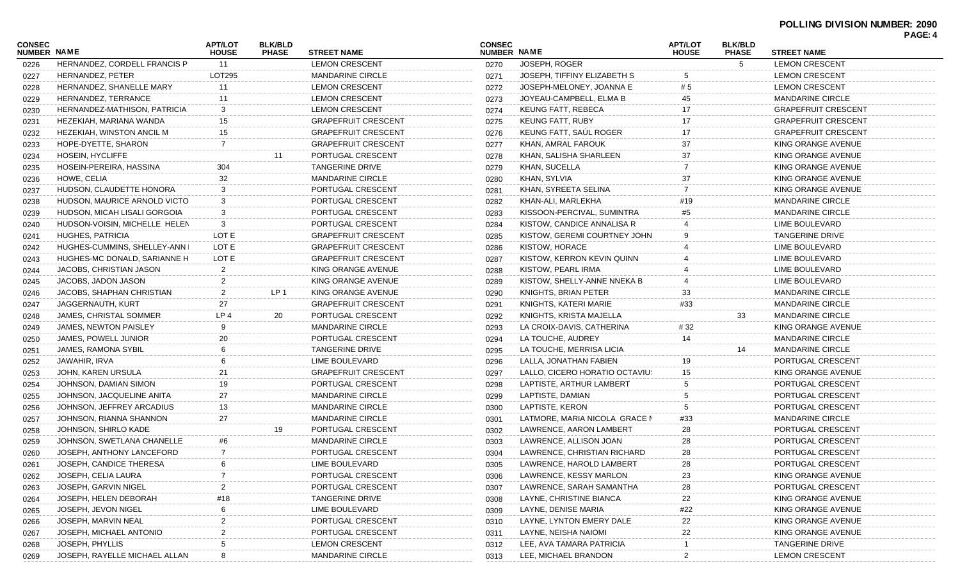| HERNANDEZ, CORDELL FRANCIS P<br>11<br><b>LEMON CRESCENT</b><br>JOSEPH, ROGER<br>5<br><b>LEMON CRESCENT</b><br>0270<br>0226<br>HERNANDEZ, PETER<br>LOT295<br><b>MANDARINE CIRCLE</b><br>JOSEPH, TIFFINY ELIZABETH S<br><b>LEMON CRESCENT</b><br>0271<br>0227<br>HERNANDEZ, SHANELLE MARY<br><b>LEMON CRESCENT</b><br>JOSEPH-MELONEY, JOANNA E<br><b>LEMON CRESCENT</b><br>11<br># 5<br>0272<br>0228<br>HERNANDEZ, TERRANCE<br><b>LEMON CRESCENT</b><br>JOYEAU-CAMPBELL, ELMA B<br><b>MANDARINE CIRCLE</b><br>0273<br>0229<br>11<br>HERNANDEZ-MATHISON, PATRICIA<br><b>LEMON CRESCENT</b><br>KEUNG FATT, REBECA<br>3<br><b>GRAPEFRUIT CRESCENT</b><br>0274<br>0230<br>HEZEKIAH, MARIANA WANDA<br>15<br><b>GRAPEFRUIT CRESCENT</b><br>KEUNG FATT, RUBY<br><b>GRAPEFRUIT CRESCENT</b><br>0275<br>0231<br><b>GRAPEFRUIT CRESCENT</b><br>KEUNG FATT. SAUL ROGER<br><b>GRAPEFRUIT CRESCENT</b><br>HEZEKIAH, WINSTON ANCIL M<br>0276<br>0232<br>15<br>HOPE-DYETTE, SHARON<br><b>GRAPEFRUIT CRESCENT</b><br>KHAN, AMRAL FAROUK<br>37<br>KING ORANGE AVENUE<br>0277<br>0233<br>PORTUGAL CRESCENT<br>KHAN, SALISHA SHARLEEN<br>37<br>KING ORANGE AVENUE<br>HOSEIN, HYCLIFFE<br>11<br>0278<br>0234<br>HOSEIN-PEREIRA, HASSINA<br><b>TANGERINE DRIVE</b><br>KHAN, SUCELLA<br>KING ORANGE AVENUE<br>304<br>0279<br>0235<br>HOWE, CELIA<br><b>MANDARINE CIRCLE</b><br>KHAN, SYLVIA<br>0280<br>37<br>KING ORANGE AVENUE<br>0236<br>HUDSON, CLAUDETTE HONORA<br>KHAN, SYREETA SELINA<br>PORTUGAL CRESCENT<br>0281<br>KING ORANGE AVENUE<br>0237<br>HUDSON, MAURICE ARNOLD VICTO<br>PORTUGAL CRESCENT<br>KHAN-ALI, MARLEKHA<br><b>MANDARINE CIRCLE</b><br>3<br>0282<br>#19<br>0238<br>HUDSON, MICAH LISALI GORGOIA<br>PORTUGAL CRESCENT<br>KISSOON-PERCIVAL, SUMINTRA<br><b>MANDARINE CIRCLE</b><br>0283<br>0239<br>HUDSON-VOISIN, MICHELLE HELEN<br>3<br>PORTUGAL CRESCENT<br>KISTOW, CANDICE ANNALISA R<br>LIME BOULEVARD<br>0284<br>0240<br><b>HUGHES, PATRICIA</b><br>LOT E<br><b>GRAPEFRUIT CRESCENT</b><br>KISTOW, GEREMI COURTNEY JOHN<br><b>TANGERINE DRIVE</b><br>0285<br>0241<br>HUGHES-CUMMINS, SHELLEY-ANN I<br>LOT E<br><b>GRAPEFRUIT CRESCENT</b><br>KISTOW, HORACE<br><b>LIME BOULEVARD</b><br>0286<br>0242<br>LOT E<br><b>GRAPEFRUIT CRESCENT</b><br>LIME BOULEVARD<br>HUGHES-MC DONALD, SARIANNE H<br>0287<br>KISTOW, KERRON KEVIN QUINN<br>0243<br>JACOBS, CHRISTIAN JASON<br>$\mathcal{P}$<br>KING ORANGE AVENUE<br>KISTOW, PEARL IRMA<br><b>LIME BOULEVARD</b><br>0288<br>0244<br>JACOBS, JADON JASON<br>KING ORANGE AVENUE<br>KISTOW, SHELLY-ANNE NNEKA B<br>LIME BOULEVARD<br>0289<br>0245<br>LP 1<br>KING ORANGE AVENUE<br>KNIGHTS, BRIAN PETER<br><b>MANDARINE CIRCLE</b><br>JACOBS, SHAPHAN CHRISTIAN<br>0290<br>33<br>0246<br><b>GRAPEFRUIT CRESCENT</b><br>KNIGHTS, KATERI MARIE<br><b>MANDARINE CIRCLE</b><br>JAGGERNAUTH, KURT<br>27<br>#33<br>0291<br>0247<br>JAMES, CHRISTAL SOMMER<br>LP 4<br>20<br>PORTUGAL CRESCENT<br>KNIGHTS, KRISTA MAJELLA<br>33<br><b>MANDARINE CIRCLE</b><br>0292<br>0248<br><b>MANDARINE CIRCLE</b><br>#32<br>JAMES, NEWTON PAISLEY<br>0293<br>LA CROIX-DAVIS, CATHERINA<br>KING ORANGE AVENUE<br>0249<br>20<br>LA TOUCHE, AUDREY<br><b>MANDARINE CIRCLE</b><br>JAMES, POWELL JUNIOR<br>PORTUGAL CRESCENT<br>0294<br>14<br>0250<br>JAMES, RAMONA SYBIL<br><b>TANGERINE DRIVE</b><br>LA TOUCHE, MERRISA LICIA<br><b>MANDARINE CIRCLE</b><br>14<br>0295<br>0251<br>JAWAHIR, IRVA<br>LIME BOULEVARD<br>LALLA, JONATHAN FABIEN<br>PORTUGAL CRESCENT<br>0296<br>19<br>0252<br><b>GRAPEFRUIT CRESCENT</b><br>LALLO, CICERO HORATIO OCTAVIUS<br>JOHN, KAREN URSULA<br>21<br>0297<br>15<br>KING ORANGE AVENUE<br>0253<br>19<br>PORTUGAL CRESCENT<br>LAPTISTE, ARTHUR LAMBERT<br>PORTUGAL CRESCENT<br>JOHNSON, DAMIAN SIMON<br>0298<br>0254 |
|---------------------------------------------------------------------------------------------------------------------------------------------------------------------------------------------------------------------------------------------------------------------------------------------------------------------------------------------------------------------------------------------------------------------------------------------------------------------------------------------------------------------------------------------------------------------------------------------------------------------------------------------------------------------------------------------------------------------------------------------------------------------------------------------------------------------------------------------------------------------------------------------------------------------------------------------------------------------------------------------------------------------------------------------------------------------------------------------------------------------------------------------------------------------------------------------------------------------------------------------------------------------------------------------------------------------------------------------------------------------------------------------------------------------------------------------------------------------------------------------------------------------------------------------------------------------------------------------------------------------------------------------------------------------------------------------------------------------------------------------------------------------------------------------------------------------------------------------------------------------------------------------------------------------------------------------------------------------------------------------------------------------------------------------------------------------------------------------------------------------------------------------------------------------------------------------------------------------------------------------------------------------------------------------------------------------------------------------------------------------------------------------------------------------------------------------------------------------------------------------------------------------------------------------------------------------------------------------------------------------------------------------------------------------------------------------------------------------------------------------------------------------------------------------------------------------------------------------------------------------------------------------------------------------------------------------------------------------------------------------------------------------------------------------------------------------------------------------------------------------------------------------------------------------------------------------------------------------------------------------------------------------------------------------------------------------------------------------------------------------------------------------------------------------------------------------------------------------------------------------------------------------------------------------------------------------------------------------------------------------------------------------------------------------------------------------------------------------------------------------------------------------------|
|                                                                                                                                                                                                                                                                                                                                                                                                                                                                                                                                                                                                                                                                                                                                                                                                                                                                                                                                                                                                                                                                                                                                                                                                                                                                                                                                                                                                                                                                                                                                                                                                                                                                                                                                                                                                                                                                                                                                                                                                                                                                                                                                                                                                                                                                                                                                                                                                                                                                                                                                                                                                                                                                                                                                                                                                                                                                                                                                                                                                                                                                                                                                                                                                                                                                                                                                                                                                                                                                                                                                                                                                                                                                                                                                                                           |
|                                                                                                                                                                                                                                                                                                                                                                                                                                                                                                                                                                                                                                                                                                                                                                                                                                                                                                                                                                                                                                                                                                                                                                                                                                                                                                                                                                                                                                                                                                                                                                                                                                                                                                                                                                                                                                                                                                                                                                                                                                                                                                                                                                                                                                                                                                                                                                                                                                                                                                                                                                                                                                                                                                                                                                                                                                                                                                                                                                                                                                                                                                                                                                                                                                                                                                                                                                                                                                                                                                                                                                                                                                                                                                                                                                           |
|                                                                                                                                                                                                                                                                                                                                                                                                                                                                                                                                                                                                                                                                                                                                                                                                                                                                                                                                                                                                                                                                                                                                                                                                                                                                                                                                                                                                                                                                                                                                                                                                                                                                                                                                                                                                                                                                                                                                                                                                                                                                                                                                                                                                                                                                                                                                                                                                                                                                                                                                                                                                                                                                                                                                                                                                                                                                                                                                                                                                                                                                                                                                                                                                                                                                                                                                                                                                                                                                                                                                                                                                                                                                                                                                                                           |
|                                                                                                                                                                                                                                                                                                                                                                                                                                                                                                                                                                                                                                                                                                                                                                                                                                                                                                                                                                                                                                                                                                                                                                                                                                                                                                                                                                                                                                                                                                                                                                                                                                                                                                                                                                                                                                                                                                                                                                                                                                                                                                                                                                                                                                                                                                                                                                                                                                                                                                                                                                                                                                                                                                                                                                                                                                                                                                                                                                                                                                                                                                                                                                                                                                                                                                                                                                                                                                                                                                                                                                                                                                                                                                                                                                           |
|                                                                                                                                                                                                                                                                                                                                                                                                                                                                                                                                                                                                                                                                                                                                                                                                                                                                                                                                                                                                                                                                                                                                                                                                                                                                                                                                                                                                                                                                                                                                                                                                                                                                                                                                                                                                                                                                                                                                                                                                                                                                                                                                                                                                                                                                                                                                                                                                                                                                                                                                                                                                                                                                                                                                                                                                                                                                                                                                                                                                                                                                                                                                                                                                                                                                                                                                                                                                                                                                                                                                                                                                                                                                                                                                                                           |
|                                                                                                                                                                                                                                                                                                                                                                                                                                                                                                                                                                                                                                                                                                                                                                                                                                                                                                                                                                                                                                                                                                                                                                                                                                                                                                                                                                                                                                                                                                                                                                                                                                                                                                                                                                                                                                                                                                                                                                                                                                                                                                                                                                                                                                                                                                                                                                                                                                                                                                                                                                                                                                                                                                                                                                                                                                                                                                                                                                                                                                                                                                                                                                                                                                                                                                                                                                                                                                                                                                                                                                                                                                                                                                                                                                           |
|                                                                                                                                                                                                                                                                                                                                                                                                                                                                                                                                                                                                                                                                                                                                                                                                                                                                                                                                                                                                                                                                                                                                                                                                                                                                                                                                                                                                                                                                                                                                                                                                                                                                                                                                                                                                                                                                                                                                                                                                                                                                                                                                                                                                                                                                                                                                                                                                                                                                                                                                                                                                                                                                                                                                                                                                                                                                                                                                                                                                                                                                                                                                                                                                                                                                                                                                                                                                                                                                                                                                                                                                                                                                                                                                                                           |
|                                                                                                                                                                                                                                                                                                                                                                                                                                                                                                                                                                                                                                                                                                                                                                                                                                                                                                                                                                                                                                                                                                                                                                                                                                                                                                                                                                                                                                                                                                                                                                                                                                                                                                                                                                                                                                                                                                                                                                                                                                                                                                                                                                                                                                                                                                                                                                                                                                                                                                                                                                                                                                                                                                                                                                                                                                                                                                                                                                                                                                                                                                                                                                                                                                                                                                                                                                                                                                                                                                                                                                                                                                                                                                                                                                           |
|                                                                                                                                                                                                                                                                                                                                                                                                                                                                                                                                                                                                                                                                                                                                                                                                                                                                                                                                                                                                                                                                                                                                                                                                                                                                                                                                                                                                                                                                                                                                                                                                                                                                                                                                                                                                                                                                                                                                                                                                                                                                                                                                                                                                                                                                                                                                                                                                                                                                                                                                                                                                                                                                                                                                                                                                                                                                                                                                                                                                                                                                                                                                                                                                                                                                                                                                                                                                                                                                                                                                                                                                                                                                                                                                                                           |
|                                                                                                                                                                                                                                                                                                                                                                                                                                                                                                                                                                                                                                                                                                                                                                                                                                                                                                                                                                                                                                                                                                                                                                                                                                                                                                                                                                                                                                                                                                                                                                                                                                                                                                                                                                                                                                                                                                                                                                                                                                                                                                                                                                                                                                                                                                                                                                                                                                                                                                                                                                                                                                                                                                                                                                                                                                                                                                                                                                                                                                                                                                                                                                                                                                                                                                                                                                                                                                                                                                                                                                                                                                                                                                                                                                           |
|                                                                                                                                                                                                                                                                                                                                                                                                                                                                                                                                                                                                                                                                                                                                                                                                                                                                                                                                                                                                                                                                                                                                                                                                                                                                                                                                                                                                                                                                                                                                                                                                                                                                                                                                                                                                                                                                                                                                                                                                                                                                                                                                                                                                                                                                                                                                                                                                                                                                                                                                                                                                                                                                                                                                                                                                                                                                                                                                                                                                                                                                                                                                                                                                                                                                                                                                                                                                                                                                                                                                                                                                                                                                                                                                                                           |
|                                                                                                                                                                                                                                                                                                                                                                                                                                                                                                                                                                                                                                                                                                                                                                                                                                                                                                                                                                                                                                                                                                                                                                                                                                                                                                                                                                                                                                                                                                                                                                                                                                                                                                                                                                                                                                                                                                                                                                                                                                                                                                                                                                                                                                                                                                                                                                                                                                                                                                                                                                                                                                                                                                                                                                                                                                                                                                                                                                                                                                                                                                                                                                                                                                                                                                                                                                                                                                                                                                                                                                                                                                                                                                                                                                           |
|                                                                                                                                                                                                                                                                                                                                                                                                                                                                                                                                                                                                                                                                                                                                                                                                                                                                                                                                                                                                                                                                                                                                                                                                                                                                                                                                                                                                                                                                                                                                                                                                                                                                                                                                                                                                                                                                                                                                                                                                                                                                                                                                                                                                                                                                                                                                                                                                                                                                                                                                                                                                                                                                                                                                                                                                                                                                                                                                                                                                                                                                                                                                                                                                                                                                                                                                                                                                                                                                                                                                                                                                                                                                                                                                                                           |
|                                                                                                                                                                                                                                                                                                                                                                                                                                                                                                                                                                                                                                                                                                                                                                                                                                                                                                                                                                                                                                                                                                                                                                                                                                                                                                                                                                                                                                                                                                                                                                                                                                                                                                                                                                                                                                                                                                                                                                                                                                                                                                                                                                                                                                                                                                                                                                                                                                                                                                                                                                                                                                                                                                                                                                                                                                                                                                                                                                                                                                                                                                                                                                                                                                                                                                                                                                                                                                                                                                                                                                                                                                                                                                                                                                           |
|                                                                                                                                                                                                                                                                                                                                                                                                                                                                                                                                                                                                                                                                                                                                                                                                                                                                                                                                                                                                                                                                                                                                                                                                                                                                                                                                                                                                                                                                                                                                                                                                                                                                                                                                                                                                                                                                                                                                                                                                                                                                                                                                                                                                                                                                                                                                                                                                                                                                                                                                                                                                                                                                                                                                                                                                                                                                                                                                                                                                                                                                                                                                                                                                                                                                                                                                                                                                                                                                                                                                                                                                                                                                                                                                                                           |
|                                                                                                                                                                                                                                                                                                                                                                                                                                                                                                                                                                                                                                                                                                                                                                                                                                                                                                                                                                                                                                                                                                                                                                                                                                                                                                                                                                                                                                                                                                                                                                                                                                                                                                                                                                                                                                                                                                                                                                                                                                                                                                                                                                                                                                                                                                                                                                                                                                                                                                                                                                                                                                                                                                                                                                                                                                                                                                                                                                                                                                                                                                                                                                                                                                                                                                                                                                                                                                                                                                                                                                                                                                                                                                                                                                           |
|                                                                                                                                                                                                                                                                                                                                                                                                                                                                                                                                                                                                                                                                                                                                                                                                                                                                                                                                                                                                                                                                                                                                                                                                                                                                                                                                                                                                                                                                                                                                                                                                                                                                                                                                                                                                                                                                                                                                                                                                                                                                                                                                                                                                                                                                                                                                                                                                                                                                                                                                                                                                                                                                                                                                                                                                                                                                                                                                                                                                                                                                                                                                                                                                                                                                                                                                                                                                                                                                                                                                                                                                                                                                                                                                                                           |
|                                                                                                                                                                                                                                                                                                                                                                                                                                                                                                                                                                                                                                                                                                                                                                                                                                                                                                                                                                                                                                                                                                                                                                                                                                                                                                                                                                                                                                                                                                                                                                                                                                                                                                                                                                                                                                                                                                                                                                                                                                                                                                                                                                                                                                                                                                                                                                                                                                                                                                                                                                                                                                                                                                                                                                                                                                                                                                                                                                                                                                                                                                                                                                                                                                                                                                                                                                                                                                                                                                                                                                                                                                                                                                                                                                           |
|                                                                                                                                                                                                                                                                                                                                                                                                                                                                                                                                                                                                                                                                                                                                                                                                                                                                                                                                                                                                                                                                                                                                                                                                                                                                                                                                                                                                                                                                                                                                                                                                                                                                                                                                                                                                                                                                                                                                                                                                                                                                                                                                                                                                                                                                                                                                                                                                                                                                                                                                                                                                                                                                                                                                                                                                                                                                                                                                                                                                                                                                                                                                                                                                                                                                                                                                                                                                                                                                                                                                                                                                                                                                                                                                                                           |
|                                                                                                                                                                                                                                                                                                                                                                                                                                                                                                                                                                                                                                                                                                                                                                                                                                                                                                                                                                                                                                                                                                                                                                                                                                                                                                                                                                                                                                                                                                                                                                                                                                                                                                                                                                                                                                                                                                                                                                                                                                                                                                                                                                                                                                                                                                                                                                                                                                                                                                                                                                                                                                                                                                                                                                                                                                                                                                                                                                                                                                                                                                                                                                                                                                                                                                                                                                                                                                                                                                                                                                                                                                                                                                                                                                           |
|                                                                                                                                                                                                                                                                                                                                                                                                                                                                                                                                                                                                                                                                                                                                                                                                                                                                                                                                                                                                                                                                                                                                                                                                                                                                                                                                                                                                                                                                                                                                                                                                                                                                                                                                                                                                                                                                                                                                                                                                                                                                                                                                                                                                                                                                                                                                                                                                                                                                                                                                                                                                                                                                                                                                                                                                                                                                                                                                                                                                                                                                                                                                                                                                                                                                                                                                                                                                                                                                                                                                                                                                                                                                                                                                                                           |
|                                                                                                                                                                                                                                                                                                                                                                                                                                                                                                                                                                                                                                                                                                                                                                                                                                                                                                                                                                                                                                                                                                                                                                                                                                                                                                                                                                                                                                                                                                                                                                                                                                                                                                                                                                                                                                                                                                                                                                                                                                                                                                                                                                                                                                                                                                                                                                                                                                                                                                                                                                                                                                                                                                                                                                                                                                                                                                                                                                                                                                                                                                                                                                                                                                                                                                                                                                                                                                                                                                                                                                                                                                                                                                                                                                           |
|                                                                                                                                                                                                                                                                                                                                                                                                                                                                                                                                                                                                                                                                                                                                                                                                                                                                                                                                                                                                                                                                                                                                                                                                                                                                                                                                                                                                                                                                                                                                                                                                                                                                                                                                                                                                                                                                                                                                                                                                                                                                                                                                                                                                                                                                                                                                                                                                                                                                                                                                                                                                                                                                                                                                                                                                                                                                                                                                                                                                                                                                                                                                                                                                                                                                                                                                                                                                                                                                                                                                                                                                                                                                                                                                                                           |
|                                                                                                                                                                                                                                                                                                                                                                                                                                                                                                                                                                                                                                                                                                                                                                                                                                                                                                                                                                                                                                                                                                                                                                                                                                                                                                                                                                                                                                                                                                                                                                                                                                                                                                                                                                                                                                                                                                                                                                                                                                                                                                                                                                                                                                                                                                                                                                                                                                                                                                                                                                                                                                                                                                                                                                                                                                                                                                                                                                                                                                                                                                                                                                                                                                                                                                                                                                                                                                                                                                                                                                                                                                                                                                                                                                           |
|                                                                                                                                                                                                                                                                                                                                                                                                                                                                                                                                                                                                                                                                                                                                                                                                                                                                                                                                                                                                                                                                                                                                                                                                                                                                                                                                                                                                                                                                                                                                                                                                                                                                                                                                                                                                                                                                                                                                                                                                                                                                                                                                                                                                                                                                                                                                                                                                                                                                                                                                                                                                                                                                                                                                                                                                                                                                                                                                                                                                                                                                                                                                                                                                                                                                                                                                                                                                                                                                                                                                                                                                                                                                                                                                                                           |
|                                                                                                                                                                                                                                                                                                                                                                                                                                                                                                                                                                                                                                                                                                                                                                                                                                                                                                                                                                                                                                                                                                                                                                                                                                                                                                                                                                                                                                                                                                                                                                                                                                                                                                                                                                                                                                                                                                                                                                                                                                                                                                                                                                                                                                                                                                                                                                                                                                                                                                                                                                                                                                                                                                                                                                                                                                                                                                                                                                                                                                                                                                                                                                                                                                                                                                                                                                                                                                                                                                                                                                                                                                                                                                                                                                           |
|                                                                                                                                                                                                                                                                                                                                                                                                                                                                                                                                                                                                                                                                                                                                                                                                                                                                                                                                                                                                                                                                                                                                                                                                                                                                                                                                                                                                                                                                                                                                                                                                                                                                                                                                                                                                                                                                                                                                                                                                                                                                                                                                                                                                                                                                                                                                                                                                                                                                                                                                                                                                                                                                                                                                                                                                                                                                                                                                                                                                                                                                                                                                                                                                                                                                                                                                                                                                                                                                                                                                                                                                                                                                                                                                                                           |
|                                                                                                                                                                                                                                                                                                                                                                                                                                                                                                                                                                                                                                                                                                                                                                                                                                                                                                                                                                                                                                                                                                                                                                                                                                                                                                                                                                                                                                                                                                                                                                                                                                                                                                                                                                                                                                                                                                                                                                                                                                                                                                                                                                                                                                                                                                                                                                                                                                                                                                                                                                                                                                                                                                                                                                                                                                                                                                                                                                                                                                                                                                                                                                                                                                                                                                                                                                                                                                                                                                                                                                                                                                                                                                                                                                           |
|                                                                                                                                                                                                                                                                                                                                                                                                                                                                                                                                                                                                                                                                                                                                                                                                                                                                                                                                                                                                                                                                                                                                                                                                                                                                                                                                                                                                                                                                                                                                                                                                                                                                                                                                                                                                                                                                                                                                                                                                                                                                                                                                                                                                                                                                                                                                                                                                                                                                                                                                                                                                                                                                                                                                                                                                                                                                                                                                                                                                                                                                                                                                                                                                                                                                                                                                                                                                                                                                                                                                                                                                                                                                                                                                                                           |
| JOHNSON, JACQUELINE ANITA<br><b>MANDARINE CIRCLE</b><br>LAPTISTE, DAMIAN<br>PORTUGAL CRESCENT<br>27<br>0299<br>0255                                                                                                                                                                                                                                                                                                                                                                                                                                                                                                                                                                                                                                                                                                                                                                                                                                                                                                                                                                                                                                                                                                                                                                                                                                                                                                                                                                                                                                                                                                                                                                                                                                                                                                                                                                                                                                                                                                                                                                                                                                                                                                                                                                                                                                                                                                                                                                                                                                                                                                                                                                                                                                                                                                                                                                                                                                                                                                                                                                                                                                                                                                                                                                                                                                                                                                                                                                                                                                                                                                                                                                                                                                                       |
| JOHNSON, JEFFREY ARCADIUS<br>13<br><b>MANDARINE CIRCLE</b><br>LAPTISTE, KERON<br>PORTUGAL CRESCENT<br>0300<br>0256                                                                                                                                                                                                                                                                                                                                                                                                                                                                                                                                                                                                                                                                                                                                                                                                                                                                                                                                                                                                                                                                                                                                                                                                                                                                                                                                                                                                                                                                                                                                                                                                                                                                                                                                                                                                                                                                                                                                                                                                                                                                                                                                                                                                                                                                                                                                                                                                                                                                                                                                                                                                                                                                                                                                                                                                                                                                                                                                                                                                                                                                                                                                                                                                                                                                                                                                                                                                                                                                                                                                                                                                                                                        |
| 27<br><b>MANDARINE CIRCLE</b><br>LATMORE, MARIA NICOLA GRACE M<br><b>MANDARINE CIRCLE</b><br>JOHNSON, RIANNA SHANNON<br>#33<br>0301<br>0257                                                                                                                                                                                                                                                                                                                                                                                                                                                                                                                                                                                                                                                                                                                                                                                                                                                                                                                                                                                                                                                                                                                                                                                                                                                                                                                                                                                                                                                                                                                                                                                                                                                                                                                                                                                                                                                                                                                                                                                                                                                                                                                                                                                                                                                                                                                                                                                                                                                                                                                                                                                                                                                                                                                                                                                                                                                                                                                                                                                                                                                                                                                                                                                                                                                                                                                                                                                                                                                                                                                                                                                                                               |
| JOHNSON, SHIRLO KADE<br>PORTUGAL CRESCENT<br>LAWRENCE, AARON LAMBERT<br>PORTUGAL CRESCENT<br>19<br>28<br>0302<br>0258                                                                                                                                                                                                                                                                                                                                                                                                                                                                                                                                                                                                                                                                                                                                                                                                                                                                                                                                                                                                                                                                                                                                                                                                                                                                                                                                                                                                                                                                                                                                                                                                                                                                                                                                                                                                                                                                                                                                                                                                                                                                                                                                                                                                                                                                                                                                                                                                                                                                                                                                                                                                                                                                                                                                                                                                                                                                                                                                                                                                                                                                                                                                                                                                                                                                                                                                                                                                                                                                                                                                                                                                                                                     |
| JOHNSON, SWETLANA CHANELLE<br><b>MANDARINE CIRCLE</b><br>LAWRENCE, ALLISON JOAN<br>PORTUGAL CRESCENT<br>28<br>#6<br>0303<br>0259                                                                                                                                                                                                                                                                                                                                                                                                                                                                                                                                                                                                                                                                                                                                                                                                                                                                                                                                                                                                                                                                                                                                                                                                                                                                                                                                                                                                                                                                                                                                                                                                                                                                                                                                                                                                                                                                                                                                                                                                                                                                                                                                                                                                                                                                                                                                                                                                                                                                                                                                                                                                                                                                                                                                                                                                                                                                                                                                                                                                                                                                                                                                                                                                                                                                                                                                                                                                                                                                                                                                                                                                                                          |
| JOSEPH, ANTHONY LANCEFORD<br>$\overline{7}$<br>PORTUGAL CRESCENT<br>LAWRENCE, CHRISTIAN RICHARD<br>PORTUGAL CRESCENT<br>28<br>0304<br>0260                                                                                                                                                                                                                                                                                                                                                                                                                                                                                                                                                                                                                                                                                                                                                                                                                                                                                                                                                                                                                                                                                                                                                                                                                                                                                                                                                                                                                                                                                                                                                                                                                                                                                                                                                                                                                                                                                                                                                                                                                                                                                                                                                                                                                                                                                                                                                                                                                                                                                                                                                                                                                                                                                                                                                                                                                                                                                                                                                                                                                                                                                                                                                                                                                                                                                                                                                                                                                                                                                                                                                                                                                                |
| JOSEPH, CANDICE THERESA<br>LIME BOULEVARD<br>LAWRENCE, HAROLD LAMBERT<br>PORTUGAL CRESCENT<br>0305<br>0261                                                                                                                                                                                                                                                                                                                                                                                                                                                                                                                                                                                                                                                                                                                                                                                                                                                                                                                                                                                                                                                                                                                                                                                                                                                                                                                                                                                                                                                                                                                                                                                                                                                                                                                                                                                                                                                                                                                                                                                                                                                                                                                                                                                                                                                                                                                                                                                                                                                                                                                                                                                                                                                                                                                                                                                                                                                                                                                                                                                                                                                                                                                                                                                                                                                                                                                                                                                                                                                                                                                                                                                                                                                                |
| PORTUGAL CRESCENT<br>LAWRENCE, KESSY MARLON<br>JOSEPH, CELIA LAURA<br>KING ORANGE AVENUE<br>0306<br>0262                                                                                                                                                                                                                                                                                                                                                                                                                                                                                                                                                                                                                                                                                                                                                                                                                                                                                                                                                                                                                                                                                                                                                                                                                                                                                                                                                                                                                                                                                                                                                                                                                                                                                                                                                                                                                                                                                                                                                                                                                                                                                                                                                                                                                                                                                                                                                                                                                                                                                                                                                                                                                                                                                                                                                                                                                                                                                                                                                                                                                                                                                                                                                                                                                                                                                                                                                                                                                                                                                                                                                                                                                                                                  |
| JOSEPH, GARVIN NIGEL<br>LAWRENCE, SARAH SAMANTHA<br>PORTUGAL CRESCENT<br>PORTUGAL CRESCENT<br>0307<br>0263<br>28                                                                                                                                                                                                                                                                                                                                                                                                                                                                                                                                                                                                                                                                                                                                                                                                                                                                                                                                                                                                                                                                                                                                                                                                                                                                                                                                                                                                                                                                                                                                                                                                                                                                                                                                                                                                                                                                                                                                                                                                                                                                                                                                                                                                                                                                                                                                                                                                                                                                                                                                                                                                                                                                                                                                                                                                                                                                                                                                                                                                                                                                                                                                                                                                                                                                                                                                                                                                                                                                                                                                                                                                                                                          |
| JOSEPH, HELEN DEBORAH<br><b>TANGERINE DRIVE</b><br>LAYNE, CHRISTINE BIANCA<br>KING ORANGE AVENUE<br>0308<br>22<br>0264                                                                                                                                                                                                                                                                                                                                                                                                                                                                                                                                                                                                                                                                                                                                                                                                                                                                                                                                                                                                                                                                                                                                                                                                                                                                                                                                                                                                                                                                                                                                                                                                                                                                                                                                                                                                                                                                                                                                                                                                                                                                                                                                                                                                                                                                                                                                                                                                                                                                                                                                                                                                                                                                                                                                                                                                                                                                                                                                                                                                                                                                                                                                                                                                                                                                                                                                                                                                                                                                                                                                                                                                                                                    |
| JOSEPH, JEVON NIGEL<br>LIME BOULEVARD<br>LAYNE, DENISE MARIA<br>KING ORANGE AVENUE<br>0309<br>#22<br>0265                                                                                                                                                                                                                                                                                                                                                                                                                                                                                                                                                                                                                                                                                                                                                                                                                                                                                                                                                                                                                                                                                                                                                                                                                                                                                                                                                                                                                                                                                                                                                                                                                                                                                                                                                                                                                                                                                                                                                                                                                                                                                                                                                                                                                                                                                                                                                                                                                                                                                                                                                                                                                                                                                                                                                                                                                                                                                                                                                                                                                                                                                                                                                                                                                                                                                                                                                                                                                                                                                                                                                                                                                                                                 |
| JOSEPH, MARVIN NEAL<br>PORTUGAL CRESCENT<br>LAYNE, LYNTON EMERY DALE<br>22<br>KING ORANGE AVENUE<br>0310<br>0266                                                                                                                                                                                                                                                                                                                                                                                                                                                                                                                                                                                                                                                                                                                                                                                                                                                                                                                                                                                                                                                                                                                                                                                                                                                                                                                                                                                                                                                                                                                                                                                                                                                                                                                                                                                                                                                                                                                                                                                                                                                                                                                                                                                                                                                                                                                                                                                                                                                                                                                                                                                                                                                                                                                                                                                                                                                                                                                                                                                                                                                                                                                                                                                                                                                                                                                                                                                                                                                                                                                                                                                                                                                          |
| PORTUGAL CRESCENT<br>JOSEPH, MICHAEL ANTONIO<br>LAYNE, NEISHA NAIOMI<br>KING ORANGE AVENUE<br>22<br>0311<br>0267                                                                                                                                                                                                                                                                                                                                                                                                                                                                                                                                                                                                                                                                                                                                                                                                                                                                                                                                                                                                                                                                                                                                                                                                                                                                                                                                                                                                                                                                                                                                                                                                                                                                                                                                                                                                                                                                                                                                                                                                                                                                                                                                                                                                                                                                                                                                                                                                                                                                                                                                                                                                                                                                                                                                                                                                                                                                                                                                                                                                                                                                                                                                                                                                                                                                                                                                                                                                                                                                                                                                                                                                                                                          |
| JOSEPH, PHYLLIS<br><b>LEMON CRESCENT</b><br>LEE, AVA TAMARA PATRICIA<br><b>TANGERINE DRIVE</b><br>0312<br>0268                                                                                                                                                                                                                                                                                                                                                                                                                                                                                                                                                                                                                                                                                                                                                                                                                                                                                                                                                                                                                                                                                                                                                                                                                                                                                                                                                                                                                                                                                                                                                                                                                                                                                                                                                                                                                                                                                                                                                                                                                                                                                                                                                                                                                                                                                                                                                                                                                                                                                                                                                                                                                                                                                                                                                                                                                                                                                                                                                                                                                                                                                                                                                                                                                                                                                                                                                                                                                                                                                                                                                                                                                                                            |
| JOSEPH, RAYELLE MICHAEL ALLAN<br><b>MANDARINE CIRCLE</b><br>LEE, MICHAEL BRANDON<br><b>LEMON CRESCENT</b><br>0313<br>0269                                                                                                                                                                                                                                                                                                                                                                                                                                                                                                                                                                                                                                                                                                                                                                                                                                                                                                                                                                                                                                                                                                                                                                                                                                                                                                                                                                                                                                                                                                                                                                                                                                                                                                                                                                                                                                                                                                                                                                                                                                                                                                                                                                                                                                                                                                                                                                                                                                                                                                                                                                                                                                                                                                                                                                                                                                                                                                                                                                                                                                                                                                                                                                                                                                                                                                                                                                                                                                                                                                                                                                                                                                                 |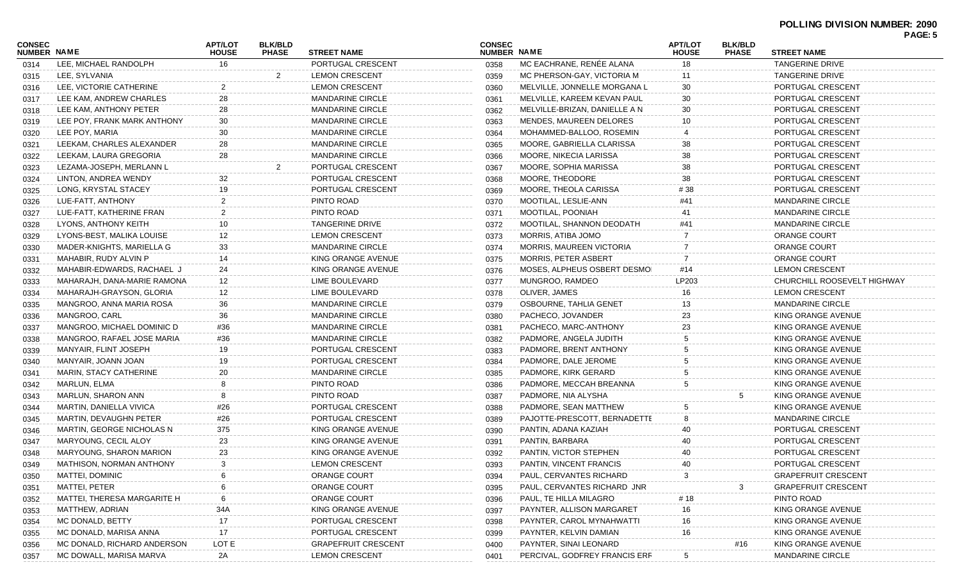| CONSEC             |                             | <b>APT/LOT</b> | <b>BLK/BLD</b> |                            | <b>CONSEC</b>      |                               | <b>APT/LOT</b> | <b>BLK/BLD</b> | PAGE: 5                     |  |
|--------------------|-----------------------------|----------------|----------------|----------------------------|--------------------|-------------------------------|----------------|----------------|-----------------------------|--|
| <b>NUMBER NAME</b> |                             | <b>HOUSE</b>   | <b>PHASE</b>   | <b>STREET NAME</b>         | <b>NUMBER NAME</b> |                               | <b>HOUSE</b>   | <b>PHASE</b>   | <b>STREET NAME</b>          |  |
| 0314               | LEE, MICHAEL RANDOLPH       | 16             |                | PORTUGAL CRESCENT          | 0358               | MC EACHRANE, RENÉE ALANA      | 18             |                | <b>TANGERINE DRIVE</b>      |  |
| 0315               | LEE, SYLVANIA               |                | 2              | <b>LEMON CRESCENT</b>      | 0359               | MC PHERSON-GAY, VICTORIA M    | 11             |                | TANGERINE DRIVE             |  |
| 0316               | LEE, VICTORIE CATHERINE     | 2              |                | <b>LEMON CRESCENT</b>      | 0360               | MELVILLE, JONNELLE MORGANA L  | 30             |                | PORTUGAL CRESCENT           |  |
| 0317               | LEE KAM, ANDREW CHARLES     | 28             |                | <b>MANDARINE CIRCLE</b>    | 0361               | MELVILLE, KAREEM KEVAN PAUL   | 30             |                | PORTUGAL CRESCENT           |  |
| 0318               | LEE KAM, ANTHONY PETER      | 28             |                | <b>MANDARINE CIRCLE</b>    | 0362               | MELVILLE-BRIZAN, DANIELLE A N | 30             |                | PORTUGAL CRESCENT           |  |
| 0319               | LEE POY, FRANK MARK ANTHONY | 30             |                | <b>MANDARINE CIRCLE</b>    | 0363               | MENDES, MAUREEN DELORES       | 10             |                | PORTUGAL CRESCENT           |  |
| 0320               | LEE POY, MARIA              | 30             |                | <b>MANDARINE CIRCLE</b>    | 0364               | MOHAMMED-BALLOO, ROSEMIN      |                |                | PORTUGAL CRESCENT           |  |
| 0321               | LEEKAM, CHARLES ALEXANDER   | 28             |                | MANDARINE CIRCLE           | 0365               | MOORE, GABRIELLA CLARISSA     | 38             |                | PORTUGAL CRESCENT           |  |
| 0322               | LEEKAM, LAURA GREGORIA      | 28             |                | <b>MANDARINE CIRCLE</b>    | 0366               | MOORE, NIKECIA LARISSA        | 38             |                | PORTUGAL CRESCENT           |  |
| 0323               | LEZAMA-JOSEPH, MERLANN L    |                |                | PORTUGAL CRESCENT          | 0367               | MOORE, SOPHIA MARISSA         | 38             |                | PORTUGAL CRESCENT           |  |
| 0324               | LINTON, ANDREA WENDY        | 32             |                | PORTUGAL CRESCENT          | 0368               | MOORE, THEODORE               | 38             |                | PORTUGAL CRESCENT           |  |
| 0325               | LONG, KRYSTAL STACEY        | 19             |                | PORTUGAL CRESCENT          | 0369               | MOORE, THEOLA CARISSA         | # 38           |                | PORTUGAL CRESCENT           |  |
| 0326               | LUE-FATT, ANTHONY           | 2              |                | PINTO ROAD                 | 0370               | MOOTILAL, LESLIE-ANN          | #41            |                | <b>MANDARINE CIRCLE</b>     |  |
| 0327               | LUE-FATT, KATHERINE FRAN    | 2              |                | PINTO ROAD                 | 0371               | MOOTILAL, POONIAH             | 41             |                | <b>MANDARINE CIRCLE</b>     |  |
| 0328               | LYONS, ANTHONY KEITH        | 10             |                | TANGERINE DRIVE            | 0372               | MOOTILAL, SHANNON DEODATH     | #41            |                | <b>MANDARINE CIRCLE</b>     |  |
| 0329               | LYONS-BEST, MALIKA LOUISE   | 12             |                | <b>LEMON CRESCENT</b>      | 0373               | MORRIS, ATIBA JOMO            |                |                | <b>ORANGE COURT</b>         |  |
| 0330               | MADER-KNIGHTS, MARIELLA G   | 33             |                | <b>MANDARINE CIRCLE</b>    | 0374               | MORRIS, MAUREEN VICTORIA      |                |                | <b>ORANGE COURT</b>         |  |
| 0331               | MAHABIR, RUDY ALVIN P       | 14             |                | KING ORANGE AVENUE         | 0375               | <b>MORRIS, PETER ASBERT</b>   |                |                | <b>ORANGE COURT</b>         |  |
| 0332               | MAHABIR-EDWARDS, RACHAEL J  | 24             |                | KING ORANGE AVENUE         | 0376               | MOSES, ALPHEUS OSBERT DESMOI  | #14            |                | <b>LEMON CRESCENT</b>       |  |
| 0333               | MAHARAJH, DANA-MARIE RAMONA | 12             |                | LIME BOULEVARD             | 0377               | MUNGROO, RAMDEO               | LP203          |                | CHURCHILL ROOSEVELT HIGHWAY |  |
| 0334               | MAHARAJH-GRAYSON, GLORIA    | 12             |                | LIME BOULEVARD             | 0378               | OLIVER, JAMES                 | 16             |                | <b>LEMON CRESCENT</b>       |  |
| 0335               | MANGROO, ANNA MARIA ROSA    | 36             |                | <b>MANDARINE CIRCLE</b>    | 0379               | OSBOURNE, TAHLIA GENET        |                |                | <b>MANDARINE CIRCLE</b>     |  |
| 0336               | MANGROO, CARL               | 36             |                | <b>MANDARINE CIRCLE</b>    | 0380               | PACHECO, JOVANDER             | 23             |                | KING ORANGE AVENUE          |  |
| 0337               | MANGROO, MICHAEL DOMINIC D  | #36            |                | MANDARINE CIRCLE           | 0381               | PACHECO, MARC-ANTHONY         | 23             |                | KING ORANGE AVENUE          |  |
| 0338               | MANGROO, RAFAEL JOSE MARIA  | #36            |                | MANDARINE CIRCLE           | 0382               | PADMORE, ANGELA JUDITH        |                |                | KING ORANGE AVENUE          |  |
| 0339               | MANYAIR, FLINT JOSEPH       | 19             |                | PORTUGAL CRESCENT          | 0383               | PADMORE, BRENT ANTHONY        |                |                | KING ORANGE AVENUE          |  |
| 0340               | MANYAIR, JOANN JOAN         | 19             |                | PORTUGAL CRESCENT          | 0384               | PADMORE, DALE JEROME          |                |                | KING ORANGE AVENUE          |  |
| 0341               | MARIN, STACY CATHERINE      | 20             |                | MANDARINE CIRCLE           | 0385               | PADMORE, KIRK GERARD          |                |                | KING ORANGE AVENUE          |  |
| 0342               | MARLUN, ELMA                |                |                | PINTO ROAD                 | 0386               | PADMORE, MECCAH BREANNA       |                |                | KING ORANGE AVENUE          |  |
| 0343               | MARLUN, SHARON ANN          |                |                | PINTO ROAD                 | 0387               | PADMORE, NIA ALYSHA           |                | 5              | KING ORANGE AVENUE          |  |
| 0344               | MARTIN, DANIELLA VIVICA     | #26            |                | PORTUGAL CRESCENT          | 0388               | PADMORE, SEAN MATTHEW         |                |                | KING ORANGE AVENUE          |  |
| 0345               | MARTIN, DEVAUGHN PETER      | #26            |                | PORTUGAL CRESCENT          | 0389               | PAJOTTE-PRESCOTT, BERNADETTE  | 8              |                | <b>MANDARINE CIRCLE</b>     |  |
| 0346               | MARTIN, GEORGE NICHOLAS N   | 375            |                | KING ORANGE AVENUE         | 0390               | PANTIN, ADANA KAZIAH          |                |                | PORTUGAL CRESCENT           |  |
| 0347               | MARYOUNG, CECIL ALOY        | 23             |                | KING ORANGE AVENUE         | 0391               | PANTIN, BARBARA               |                |                | PORTUGAL CRESCENT           |  |
| 0348               | MARYOUNG, SHARON MARION     | 23             |                | KING ORANGE AVENUE         | 0392               | PANTIN, VICTOR STEPHEN        | 40             |                | PORTUGAL CRESCENT           |  |
| 0349               | MATHISON, NORMAN ANTHONY    | 3              |                | <b>LEMON CRESCENT</b>      | 0393               | PANTIN, VINCENT FRANCIS       | 40             |                | PORTUGAL CRESCENT           |  |
| 0350               | <b>MATTEI, DOMINIC</b>      |                |                | <b>ORANGE COURT</b>        | 0394               | PAUL, CERVANTES RICHARD       |                |                | <b>GRAPEFRUIT CRESCENT</b>  |  |
| 0351               | MATTEI, PETER               |                |                | <b>ORANGE COURT</b>        | 0395               | PAUL, CERVANTES RICHARD JNR   |                | 3              | <b>GRAPEFRUIT CRESCENT</b>  |  |
| 0352               | MATTEI, THERESA MARGARITE H |                |                | ORANGE COURT               | 0396               | PAUL, TE HILLA MILAGRO        | #18            |                | PINTO ROAD                  |  |
| 0353               | MATTHEW, ADRIAN             | 34A            |                | KING ORANGE AVENUE         | 0397               | PAYNTER, ALLISON MARGARET     | 16             |                | KING ORANGE AVENUE          |  |
| 0354               | MC DONALD, BETTY            | 17             |                | PORTUGAL CRESCENT          | 0398               | PAYNTER, CAROL MYNAHWATTI     | 16             |                | KING ORANGE AVENUE          |  |
| 0355               | MC DONALD, MARISA ANNA      | 17             |                | PORTUGAL CRESCENT          | 0399               | PAYNTER, KELVIN DAMIAN        | 16             |                | KING ORANGE AVENUE          |  |
| 0356               | MC DONALD, RICHARD ANDERSON | LOT E          |                | <b>GRAPEFRUIT CRESCENT</b> | 0400               | PAYNTER, SINAI LEONARD        |                | #16            | KING ORANGE AVENUE          |  |
| 0357               | MC DOWALL, MARISA MARVA     | 2A             |                | <b>LEMON CRESCENT</b>      | 0401               | PERCIVAL, GODFREY FRANCIS ERR | 5              |                | <b>MANDARINE CIRCLE</b>     |  |
|                    |                             |                |                |                            |                    |                               |                |                |                             |  |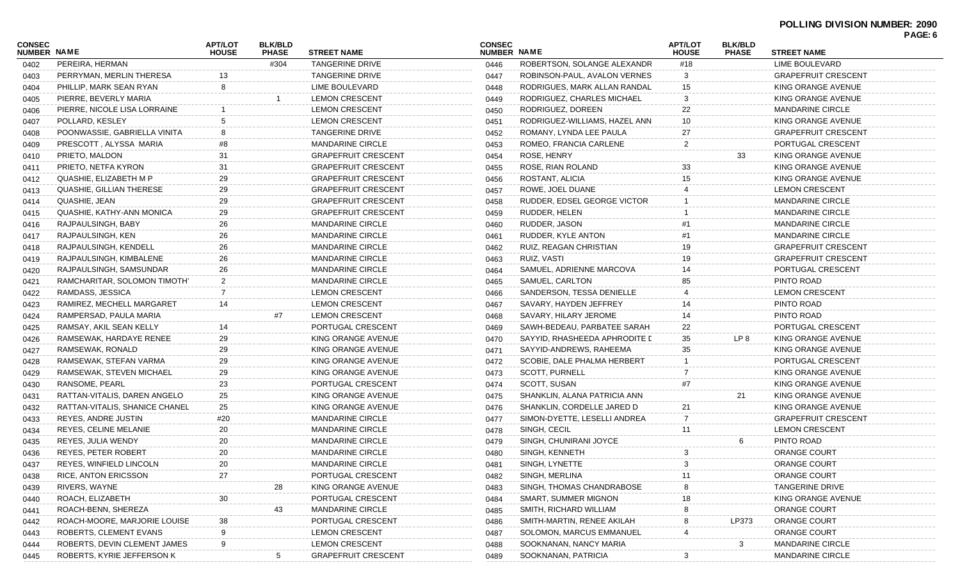|                              |                                |                                |                                |                            |                              |                               |                                |                                |                            | <b>FAGE.U</b> |
|------------------------------|--------------------------------|--------------------------------|--------------------------------|----------------------------|------------------------------|-------------------------------|--------------------------------|--------------------------------|----------------------------|---------------|
| CONSEC<br><b>NUMBER NAME</b> |                                | <b>APT/LOT</b><br><b>HOUSE</b> | <b>BLK/BLD</b><br><b>PHASE</b> | <b>STREET NAME</b>         | <b>CONSEC</b><br>NUMBER NAME |                               | <b>APT/LOT</b><br><b>HOUSE</b> | <b>BLK/BLD</b><br><b>PHASE</b> | <b>STREET NAME</b>         |               |
| 0402                         | PEREIRA, HERMAN                |                                | #304                           | TANGERINE DRIVE            | 0446                         | ROBERTSON, SOLANGE ALEXANDR   | #18                            |                                | LIME BOULEVARD             |               |
| 0403                         | PERRYMAN, MERLIN THERESA       |                                |                                | TANGERINE DRIVE            | 0447                         | ROBINSON-PAUL, AVALON VERNES  |                                |                                | <b>GRAPEFRUIT CRESCENT</b> |               |
| 0404                         | PHILLIP, MARK SEAN RYAN        |                                |                                | LIME BOULEVARD             | 0448                         | RODRIGUES, MARK ALLAN RANDAL  | 15                             |                                | KING ORANGE AVENUE         |               |
| 0405                         | PIERRE, BEVERLY MARIA          |                                |                                | <b>LEMON CRESCENT</b>      | 0449                         | RODRIGUEZ, CHARLES MICHAEL    |                                |                                | KING ORANGE AVENUE         |               |
| 0406                         | PIERRE, NICOLE LISA LORRAINE   |                                |                                | <b>LEMON CRESCENT</b>      | 0450                         | RODRIGUEZ, DOREEN             | 22                             |                                | <b>MANDARINE CIRCLE</b>    |               |
| 0407                         | POLLARD, KESLEY                |                                |                                | <b>LEMON CRESCENT</b>      | 0451                         | RODRIGUEZ-WILLIAMS, HAZEL ANN | 10                             |                                | KING ORANGE AVENUE         |               |
| 0408                         | POONWASSIE, GABRIELLA VINITA   |                                |                                | TANGERINE DRIVE            | 0452                         | ROMANY, LYNDA LEE PAULA       | 27                             |                                | <b>GRAPEFRUIT CRESCENT</b> |               |
| 0409                         | PRESCOTT, ALYSSA MARIA         | #8                             |                                | <b>MANDARINE CIRCLE</b>    | 0453                         | ROMEO, FRANCIA CARLENE        | 2                              |                                | PORTUGAL CRESCENT          |               |
| 0410                         | PRIETO, MALDON                 | 31                             |                                | <b>GRAPEFRUIT CRESCENT</b> | 0454                         | ROSE, HENRY                   |                                | 33                             | KING ORANGE AVENUE         |               |
| 0411                         | PRIETO, NETFA KYRON            | 31                             |                                | <b>GRAPEFRUIT CRESCENT</b> | 0455                         | ROSE, RIAN ROLAND             | 33                             |                                | KING ORANGE AVENUE         |               |
| 0412                         | QUASHIE, ELIZABETH M P         | 29                             |                                | <b>GRAPEFRUIT CRESCENT</b> | 0456                         | ROSTANT, ALICIA               | 15                             |                                | KING ORANGE AVENUE         |               |
| 0413                         | QUASHIE, GILLIAN THERESE       | 29                             |                                | <b>GRAPEFRUIT CRESCENT</b> | 0457                         | ROWE, JOEL DUANE              |                                |                                | <b>LEMON CRESCENT</b>      |               |
| 0414                         | QUASHIE, JEAN                  | 29                             |                                | <b>GRAPEFRUIT CRESCENT</b> | 0458                         | RUDDER, EDSEL GEORGE VICTOR   |                                |                                | <b>MANDARINE CIRCLE</b>    |               |
| 0415                         | QUASHIE, KATHY-ANN MONICA      | 29                             |                                | <b>GRAPEFRUIT CRESCENT</b> | 0459                         | RUDDER, HELEN                 |                                |                                | <b>MANDARINE CIRCLE</b>    |               |
| 0416                         | RAJPAULSINGH, BABY             | 26                             |                                | <b>MANDARINE CIRCLE</b>    | 0460                         | RUDDER, JASON                 |                                |                                | <b>MANDARINE CIRCLE</b>    |               |
| 0417                         | RAJPAULSINGH, KEN              | 26                             |                                | <b>MANDARINE CIRCLE</b>    | 0461                         | RUDDER, KYLE ANTON            |                                |                                | <b>MANDARINE CIRCLE</b>    |               |
| 0418                         | RAJPAULSINGH, KENDELL          | 26                             |                                | <b>MANDARINE CIRCLE</b>    | 0462                         | RUIZ, REAGAN CHRISTIAN        | 19                             |                                | <b>GRAPEFRUIT CRESCENT</b> |               |
| 0419                         | RAJPAULSINGH, KIMBALENE        | 26                             |                                | <b>MANDARINE CIRCLE</b>    | 0463                         | RUIZ, VASTI                   | 19                             |                                | <b>GRAPEFRUIT CRESCENT</b> |               |
| 0420                         | RAJPAULSINGH, SAMSUNDAR        | 26                             |                                | <b>MANDARINE CIRCLE</b>    | 0464                         | SAMUEL, ADRIENNE MARCOVA      | 14                             |                                | PORTUGAL CRESCENT          |               |
| 0421                         | RAMCHARITAR, SOLOMON TIMOTH'   | $\mathbf{z}$                   |                                | <b>MANDARINE CIRCLE</b>    | 0465                         | SAMUEL, CARLTON               |                                |                                | PINTO ROAD                 |               |
| 0422                         | RAMDASS, JESSICA               |                                |                                | <b>LEMON CRESCENT</b>      | 0466                         | SANDERSON, TESSA DENIELLE     |                                |                                | <b>LEMON CRESCENT</b>      |               |
| 0423                         | RAMIREZ, MECHELL MARGARET      | 14                             |                                | <b>LEMON CRESCENT</b>      | 0467                         | SAVARY, HAYDEN JEFFREY        |                                |                                | PINTO ROAD                 |               |
| 0424                         | RAMPERSAD, PAULA MARIA         |                                |                                | <b>LEMON CRESCENT</b>      | 0468                         | SAVARY, HILARY JEROME         | 14                             |                                | PINTO ROAD                 |               |
| 0425                         | RAMSAY, AKIL SEAN KELLY        | 14                             |                                | PORTUGAL CRESCENT          | 0469                         | SAWH-BEDEAU, PARBATEE SARAH   | 22                             |                                | PORTUGAL CRESCENT          |               |
| 0426                         | RAMSEWAK, HARDAYE RENEE        | 29                             |                                | KING ORANGE AVENUE         | 0470                         | SAYYID, RHASHEEDA APHRODITE L | 35                             | LP 8                           | KING ORANGE AVENUE         |               |
| 0427                         | RAMSEWAK, RONALD               | 29                             |                                | KING ORANGE AVENUE         | 0471                         | SAYYID-ANDREWS, RAHEEMA       |                                |                                | KING ORANGE AVENUE         |               |
| 0428                         | RAMSEWAK, STEFAN VARMA         | 29                             |                                | KING ORANGE AVENUE         | 0472                         | SCOBIE, DALE PHALMA HERBERT   |                                |                                | PORTUGAL CRESCENT          |               |
| 0429                         | RAMSEWAK, STEVEN MICHAEL       | 29                             |                                | KING ORANGE AVENUE         | 0473                         | <b>SCOTT, PURNELL</b>         |                                |                                | KING ORANGE AVENUE         |               |
| 0430                         | RANSOME, PEARL                 | 23                             |                                | PORTUGAL CRESCENT          | 0474                         | SCOTT, SUSAN                  |                                |                                | KING ORANGE AVENUE         |               |
| 0431                         | RATTAN-VITALIS, DAREN ANGELO   | 25                             |                                | KING ORANGE AVENUE         | 0475                         | SHANKLIN, ALANA PATRICIA ANN  |                                | 21                             | KING ORANGE AVENUE         |               |
| 0432                         | RATTAN-VITALIS, SHANICE CHANEL | 25                             |                                | KING ORANGE AVENUE         | 0476                         | SHANKLIN, CORDELLE JARED D    | 21                             |                                | KING ORANGE AVENUE         |               |
| 0433                         | REYES, ANDRE JUSTIN            | #20                            |                                | <b>MANDARINE CIRCLE</b>    | 0477                         | SIMON-DYETTE, LESELLI ANDREA  |                                |                                | <b>GRAPEFRUIT CRESCENT</b> |               |
| 0434                         | REYES, CELINE MELANIE          | 20                             |                                | <b>MANDARINE CIRCLE</b>    | 0478                         | SINGH, CECIL                  | 11                             |                                | <b>LEMON CRESCENT</b>      |               |
| 0435                         | REYES, JULIA WENDY             | 20                             |                                | <b>MANDARINE CIRCLE</b>    | 0479                         | SINGH, CHUNIRANI JOYCE        |                                |                                | PINTO ROAD                 |               |
| 0436                         | REYES, PETER ROBERT            | 20                             |                                | <b>MANDARINE CIRCLE</b>    | 0480                         | SINGH, KENNETH                | 3                              |                                | ORANGE COURT               |               |
| 0437                         | REYES, WINFIELD LINCOLN        | 20                             |                                | MANDARINE CIRCLE           | 0481                         | SINGH, LYNETTE                |                                |                                | ORANGE COURT               |               |
| 0438                         | <b>RICE, ANTON ERICSSON</b>    | 27                             |                                | PORTUGAL CRESCENT          | 0482                         | SINGH, MERLINA                |                                |                                | ORANGE COURT               |               |
| 0439                         | RIVERS, WAYNE                  |                                | 28                             | KING ORANGE AVENUE         | 0483                         | SINGH, THOMAS CHANDRABOSE     |                                |                                | <b>TANGERINE DRIVE</b>     |               |
| 0440                         | ROACH, ELIZABETH               | 30                             |                                | PORTUGAL CRESCENT          | 0484                         | SMART, SUMMER MIGNON          |                                |                                | KING ORANGE AVENUE         |               |
| 0441                         | ROACH-BENN, SHEREZA            |                                | 43.                            | <b>MANDARINE CIRCLE</b>    | 0485                         | SMITH, RICHARD WILLIAM        |                                |                                | <b>ORANGE COURT</b>        |               |
| 0442                         | ROACH-MOORE, MARJORIE LOUISE   | 38                             |                                | PORTUGAL CRESCENT          | 0486                         | SMITH-MARTIN, RENEE AKILAH    |                                | LP373                          | <b>ORANGE COURT</b>        |               |
| 0443                         | ROBERTS, CLEMENT EVANS         |                                |                                | <b>LEMON CRESCENT</b>      | 0487                         | SOLOMON, MARCUS EMMANUEL      |                                |                                | <b>ORANGE COURT</b>        |               |
| 0444                         | ROBERTS, DEVIN CLEMENT JAMES   |                                |                                | <b>LEMON CRESCENT</b>      | 0488                         | SOOKNANAN, NANCY MARIA        |                                | 3                              | <b>MANDARINE CIRCLE</b>    |               |
| 0445                         | ROBERTS, KYRIE JEFFERSON K     |                                |                                | <b>GRAPEFRUIT CRESCENT</b> | 0489                         | SOOKNANAN, PATRICIA           | 3                              |                                | <b>MANDARINE CIRCLE</b>    |               |
|                              |                                |                                |                                |                            |                              |                               |                                |                                |                            |               |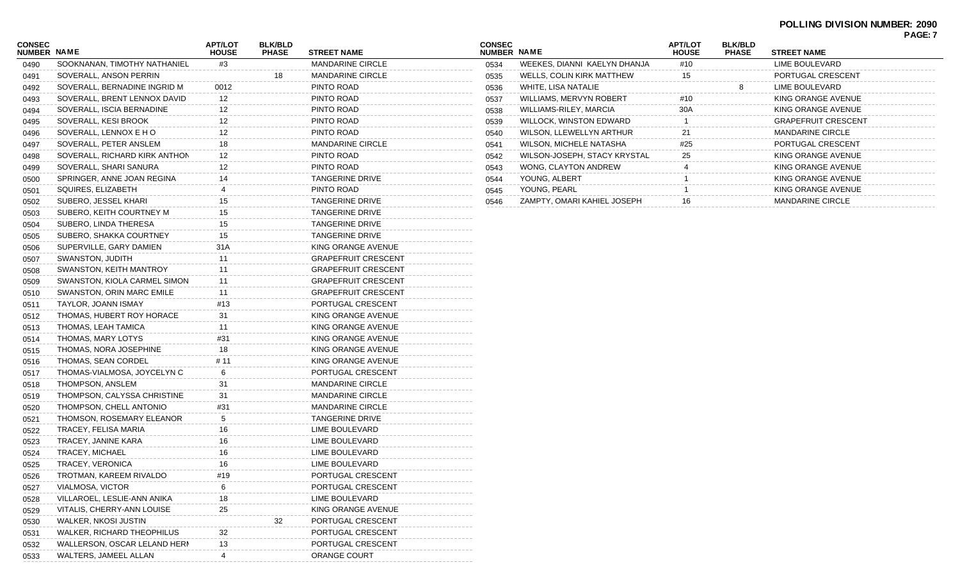| CONSEC<br><b>NUMBER NAME</b> |                                   | <b>APT/LOT</b><br><b>HOUSE</b> | <b>BLK/BLD</b><br><b>PHASE</b> | <b>STREET NAME</b>         |
|------------------------------|-----------------------------------|--------------------------------|--------------------------------|----------------------------|
| 0490                         | SOOKNANAN, TIMOTHY NATHANIEL      | #3                             |                                | <b>MANDARINE CIRCLE</b>    |
| 0491                         | SOVERALL, ANSON PERRIN            |                                | 18                             | <b>MANDARINE CIRCLE</b>    |
| 0492                         | SOVERALL, BERNADINE INGRID M      | 0012                           |                                | PINTO ROAD                 |
| 0493                         | SOVERALL, BRENT LENNOX DAVID      | $12 \overline{ }$              |                                | PINTO ROAD                 |
| 0494                         | SOVERALL, ISCIA BERNADINE         | $12 \overline{ }$              |                                | PINTO ROAD                 |
| 0495                         | SOVERALL, KESI BROOK              | $12 \overline{ }$              |                                | PINTO ROAD                 |
| 0496                         | SOVERALL, LENNOX E HO             | 12                             |                                | PINTO ROAD                 |
| 0497                         | SOVERALL, PETER ANSLEM            | 18                             |                                | <b>MANDARINE CIRCLE</b>    |
| 0498                         | SOVERALL, RICHARD KIRK ANTHON     | 12                             |                                | PINTO ROAD                 |
| 0499                         | SOVERALL, SHARI SANURA            | 12                             |                                | PINTO ROAD                 |
| 0500                         | SPRINGER, ANNE JOAN REGINA        | 14                             |                                | TANGERINE DRIVE            |
| 0501                         | SQUIRES, ELIZABETH                | 4                              |                                | PINTO ROAD                 |
| 0502                         | SUBERO, JESSEL KHARI              | 15                             |                                | TANGERINE DRIVE            |
| 0503                         | SUBERO, KEITH COURTNEY M          | 15                             |                                | TANGERINE DRIVE            |
| 0504                         | SUBERO, LINDA THERESA             | 15                             |                                | TANGERINE DRIVE            |
| 0505                         | SUBERO, SHAKKA COURTNEY           | 15                             |                                | TANGERINE DRIVE            |
| 0506                         | SUPERVILLE, GARY DAMIEN           | 31 A                           |                                | KING ORANGE AVENUE         |
| 0507                         | SWANSTON, JUDITH                  | 11                             |                                | <b>GRAPEFRUIT CRESCENT</b> |
| 0508                         | SWANSTON, KEITH MANTROY           | 11                             |                                | <b>GRAPEFRUIT CRESCENT</b> |
| 0509                         | SWANSTON, KIOLA CARMEL SIMON      | 11                             |                                | <b>GRAPEFRUIT CRESCENT</b> |
| 0510                         | SWANSTON, ORIN MARC EMILE         | 11                             |                                | <b>GRAPEFRUIT CRESCENT</b> |
| 0511                         | TAYLOR, JOANN ISMAY               | #13                            |                                | PORTUGAL CRESCENT          |
| 0512                         | THOMAS, HUBERT ROY HORACE         | 31                             |                                | KING ORANGE AVENUE         |
| 0513                         | THOMAS, LEAH TAMICA               | 11                             |                                | KING ORANGE AVENUE         |
| 0514                         | THOMAS, MARY LOTYS                | #31                            |                                | KING ORANGE AVENUE         |
| 0515                         | THOMAS, NORA JOSEPHINE            | 18                             |                                | KING ORANGE AVENUE         |
| 0516                         | THOMAS, SEAN CORDEL               | # 11                           |                                | KING ORANGE AVENUE         |
| 0517                         | THOMAS-VIALMOSA, JOYCELYN C       | 6                              |                                | PORTUGAL CRESCENT          |
| 0518                         | THOMPSON, ANSLEM                  | 31                             |                                | <b>MANDARINE CIRCLE</b>    |
| 0519                         | THOMPSON, CALYSSA CHRISTINE       | 31                             |                                | <b>MANDARINE CIRCLE</b>    |
| 0520                         | THOMPSON, CHELL ANTONIO           | #31                            |                                | <b>MANDARINE CIRCLE</b>    |
| 0521                         | THOMSON, ROSEMARY ELEANOR         | 5                              |                                | TANGERINE DRIVE            |
| 0522                         | TRACEY, FELISA MARIA              | 16                             |                                | LIME BOULEVARD             |
| 0523                         | TRACEY, JANINE KARA               | 16                             |                                | LIME BOULEVARD             |
| 0524                         | TRACEY, MICHAEL                   | 16                             |                                | LIME BOULEVARD             |
| 0525                         | TRACEY, VERONICA                  | 16                             |                                | LIME BOULEVARD             |
| 0526                         | TROTMAN, KAREEM RIVALDO           | #19                            |                                | PORTUGAL CRESCENT          |
| 0527                         | VIALMOSA, VICTOR                  | 6                              |                                | PORTUGAL CRESCENT          |
| 0528                         | VILLAROEL, LESLIE-ANN ANIKA       | 18                             |                                | LIME BOULEVARD             |
| 0529                         | VITALIS, CHERRY-ANN LOUISE        | 25                             |                                | KING ORANGE AVENUE         |
| 0530                         | WALKER, NKOSI JUSTIN              |                                | 32                             | PORTUGAL CRESCENT          |
| 0531                         | <b>WALKER, RICHARD THEOPHILUS</b> | 32                             |                                | PORTUGAL CRESCENT          |
| 0532                         | WALLERSON, OSCAR LELAND HERN      | 13                             |                                | PORTUGAL CRESCENT          |
| 0533                         | WALTERS, JAMEEL ALLAN             | 4                              |                                | ORANGE COURT               |

| <b>CONSEC</b><br><b>NUMBER</b> | <b>NAME</b>                    | <b>APT/LOT</b><br><b>HOUSE</b> | <b>BLK/BLD</b><br><b>PHASE</b> | <b>STREET NAME</b>         |
|--------------------------------|--------------------------------|--------------------------------|--------------------------------|----------------------------|
| 0534                           | WEEKES, DIANNI KAELYN DHANJA   | #10                            |                                | LIME BOULEVARD             |
| 0535                           | WELLS, COLIN KIRK MATTHEW      | 15                             |                                | PORTUGAL CRESCENT          |
| 0536                           | WHITE, LISA NATALIE            |                                | 8                              | LIME BOULEVARD             |
| 0537                           | <b>WILLIAMS, MERVYN ROBERT</b> | #10                            |                                | KING ORANGE AVENUE         |
| 0538                           | WILLIAMS-RILEY, MARCIA         | 30A                            |                                | KING ORANGE AVENUE         |
| 0539                           | WILLOCK, WINSTON EDWARD        |                                |                                | <b>GRAPEFRUIT CRESCENT</b> |
| 0540                           | WILSON, LLEWELLYN ARTHUR       | 21                             |                                | <b>MANDARINE CIRCLE</b>    |
| 0541                           | WILSON, MICHELE NATASHA        | #25                            |                                | PORTUGAL CRESCENT          |
| 0542                           | WILSON-JOSEPH, STACY KRYSTAL   | 25                             |                                | KING ORANGE AVENUE         |
| 0543                           | WONG, CLAYTON ANDREW           | 4                              |                                | KING ORANGE AVENUE         |
| 0544                           | YOUNG, ALBERT                  |                                |                                | KING ORANGE AVENUE         |
| 0545                           | YOUNG, PEARL                   |                                |                                | KING ORANGE AVENUE         |
| 0546                           | ZAMPTY, OMARI KAHIEL JOSEPH    | 16                             |                                | <b>MANDARINE CIRCLE</b>    |